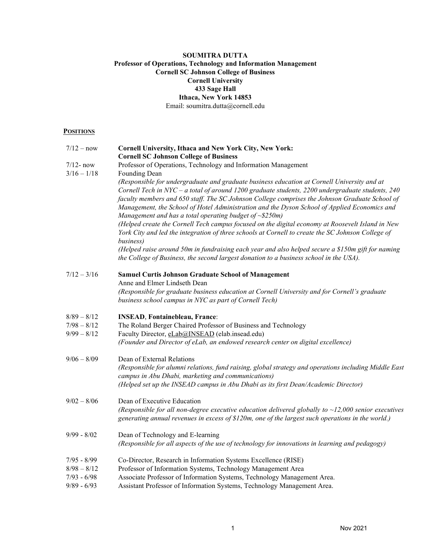# SOUMITRA DUTTA Professor of Operations, Technology and Information Management Cornell SC Johnson College of Business Cornell University 433 Sage Hall Ithaca, New York 14853 Email: [soumitra.dutta@cornell.edu](mailto:soumitra.dutta@cornell.edu)

# **POSITIONS**

| $7/12 - now$  | Cornell University, Ithaca and New York City, New York:<br><b>Cornell SC Johnson College of Business</b>                                                                                                                                                                                                                                                                                                                                                                            |
|---------------|-------------------------------------------------------------------------------------------------------------------------------------------------------------------------------------------------------------------------------------------------------------------------------------------------------------------------------------------------------------------------------------------------------------------------------------------------------------------------------------|
| $7/12$ - now  | Professor of Operations, Technology and Information Management                                                                                                                                                                                                                                                                                                                                                                                                                      |
| $3/16 - 1/18$ | Founding Dean<br>(Responsible for undergraduate and graduate business education at Cornell University and at<br>Cornell Tech in NYC - a total of around 1200 graduate students, 2200 undergraduate students, 240<br>faculty members and 650 staff. The SC Johnson College comprises the Johnson Graduate School of<br>Management, the School of Hotel Administration and the Dyson School of Applied Economics and<br>Management and has a total operating budget of $\sim$ \$250m) |
|               | (Helped create the Cornell Tech campus focused on the digital economy at Roosevelt Island in New<br>York City and led the integration of three schools at Cornell to create the SC Johnson College of<br>business)                                                                                                                                                                                                                                                                  |
|               | (Helped raise around 50m in fundraising each year and also helped secure a \$150m gift for naming<br>the College of Business, the second largest donation to a business school in the USA).                                                                                                                                                                                                                                                                                         |
| $7/12 - 3/16$ | <b>Samuel Curtis Johnson Graduate School of Management</b><br>Anne and Elmer Lindseth Dean                                                                                                                                                                                                                                                                                                                                                                                          |
|               | (Responsible for graduate business education at Cornell University and for Cornell's graduate<br>business school campus in NYC as part of Cornell Tech)                                                                                                                                                                                                                                                                                                                             |
| $8/89 - 8/12$ | <b>INSEAD, Fontainebleau, France:</b>                                                                                                                                                                                                                                                                                                                                                                                                                                               |
| $7/98 - 8/12$ | The Roland Berger Chaired Professor of Business and Technology                                                                                                                                                                                                                                                                                                                                                                                                                      |
| $9/99 - 8/12$ | Faculty Director, eLab@INSEAD (elab.insead.edu)<br>(Founder and Director of eLab, an endowed research center on digital excellence)                                                                                                                                                                                                                                                                                                                                                 |
| $9/06 - 8/09$ | Dean of External Relations                                                                                                                                                                                                                                                                                                                                                                                                                                                          |
|               | (Responsible for alumni relations, fund raising, global strategy and operations including Middle East<br>campus in Abu Dhabi, marketing and communications)                                                                                                                                                                                                                                                                                                                         |
|               | (Helped set up the INSEAD campus in Abu Dhabi as its first Dean/Academic Director)                                                                                                                                                                                                                                                                                                                                                                                                  |
| $9/02 - 8/06$ | Dean of Executive Education                                                                                                                                                                                                                                                                                                                                                                                                                                                         |
|               | (Responsible for all non-degree executive education delivered globally to $\sim$ 12,000 senior executives<br>generating annual revenues in excess of \$120m, one of the largest such operations in the world.)                                                                                                                                                                                                                                                                      |
| $9/99 - 8/02$ | Dean of Technology and E-learning<br>(Responsible for all aspects of the use of technology for innovations in learning and pedagogy)                                                                                                                                                                                                                                                                                                                                                |
| $7/95 - 8/99$ | Co-Director, Research in Information Systems Excellence (RISE)                                                                                                                                                                                                                                                                                                                                                                                                                      |
| $8/98 - 8/12$ | Professor of Information Systems, Technology Management Area                                                                                                                                                                                                                                                                                                                                                                                                                        |
| $7/93 - 6/98$ | Associate Professor of Information Systems, Technology Management Area.                                                                                                                                                                                                                                                                                                                                                                                                             |
| $9/89 - 6/93$ | Assistant Professor of Information Systems, Technology Management Area.                                                                                                                                                                                                                                                                                                                                                                                                             |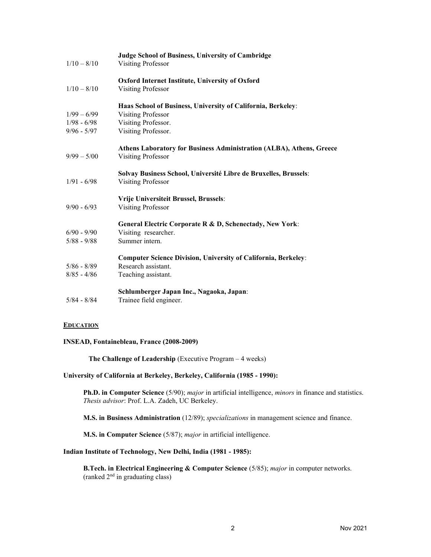|               | Judge School of Business, University of Cambridge                     |
|---------------|-----------------------------------------------------------------------|
| $1/10 - 8/10$ | <b>Visiting Professor</b>                                             |
|               | Oxford Internet Institute, University of Oxford                       |
| $1/10 - 8/10$ | <b>Visiting Professor</b>                                             |
|               | Haas School of Business, University of California, Berkeley:          |
| $1/99 - 6/99$ | Visiting Professor                                                    |
| $1/98 - 6/98$ | Visiting Professor.                                                   |
| $9/96 - 5/97$ | Visiting Professor.                                                   |
|               | Athens Laboratory for Business Administration (ALBA), Athens, Greece  |
| $9/99 - 5/00$ | <b>Visiting Professor</b>                                             |
|               | Solvay Business School, Université Libre de Bruxelles, Brussels:      |
| $1/91 - 6/98$ | <b>Visiting Professor</b>                                             |
|               | Vrije Universiteit Brussel, Brussels:                                 |
| $9/90 - 6/93$ | <b>Visiting Professor</b>                                             |
|               | General Electric Corporate R & D, Schenectady, New York:              |
| $6/90 - 9/90$ | Visiting researcher.                                                  |
| $5/88 - 9/88$ | Summer intern.                                                        |
|               | <b>Computer Science Division, University of California, Berkeley:</b> |
| $5/86 - 8/89$ | Research assistant.                                                   |
| $8/85 - 4/86$ | Teaching assistant.                                                   |
|               | Schlumberger Japan Inc., Nagaoka, Japan:                              |
| $5/84 - 8/84$ | Trainee field engineer.                                               |

# **EDUCATION**

### INSEAD, Fontainebleau, France (2008-2009)

The Challenge of Leadership (Executive Program – 4 weeks)

# University of California at Berkeley, Berkeley, California (1985 - 1990):

Ph.D. in Computer Science (5/90); *major* in artificial intelligence, *minors* in finance and statistics. Thesis advisor: Prof. L.A. Zadeh, UC Berkeley.

M.S. in Business Administration (12/89); specializations in management science and finance.

M.S. in Computer Science (5/87); major in artificial intelligence.

## Indian Institute of Technology, New Delhi, India (1981 - 1985):

**B.Tech. in Electrical Engineering & Computer Science** (5/85); *major* in computer networks. (ranked 2 nd in graduating class)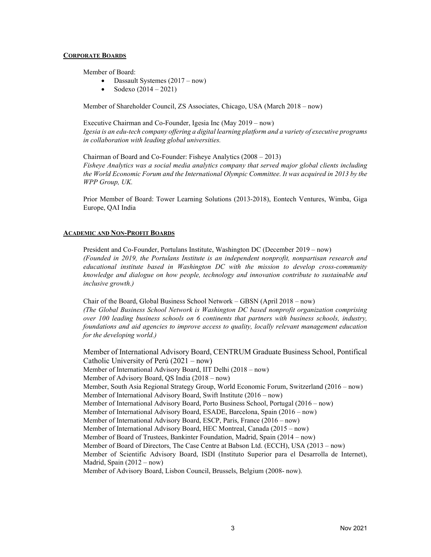### CORPORATE BOARDS

Member of Board:

- Dassault Systemes (2017 now)
- Sodexo (2014 2021)

Member of Shareholder Council, ZS Associates, Chicago, USA (March 2018 – now)

Executive Chairman and Co-Founder, Igesia Inc (May 2019 – now) Igesia is an edu-tech company offering a digital learning platform and a variety of executive programs in collaboration with leading global universities.

Chairman of Board and Co-Founder: Fisheye Analytics (2008 – 2013) Fisheye Analytics was a social media analytics company that served major global clients including the World Economic Forum and the International Olympic Committee. It was acquired in 2013 by the WPP Group, UK.

Prior Member of Board: Tower Learning Solutions (2013-2018), Eontech Ventures, Wimba, Giga Europe, QAI India

# ACADEMIC AND NON-PROFIT BOARDS

President and Co-Founder, Portulans Institute, Washington DC (December 2019 – now) (Founded in 2019, the Portulans Institute is an independent nonprofit, nonpartisan research and educational institute based in Washington DC with the mission to develop cross-community knowledge and dialogue on how people, technology and innovation contribute to sustainable and inclusive growth.)

Chair of the Board, Global Business School Network – GBSN (April 2018 – now) (The Global Business School Network is Washington DC based nonprofit organization comprising over 100 leading business schools on 6 continents that partners with business schools, industry, foundations and aid agencies to improve access to quality, locally relevant management education for the developing world.)

Member of International Advisory Board, CENTRUM Graduate Business School, Pontifical Catholic University of Perú (2021 – now) Member of International Advisory Board, IIT Delhi (2018 – now) Member of Advisory Board, QS India (2018 – now) Member, South Asia Regional Strategy Group, World Economic Forum, Switzerland (2016 – now) Member of International Advisory Board, Swift Institute (2016 – now) Member of International Advisory Board, Porto Business School, Portugal (2016 – now) Member of International Advisory Board, ESADE, Barcelona, Spain (2016 – now) Member of International Advisory Board, ESCP, Paris, France (2016 – now) Member of International Advisory Board, HEC Montreal, Canada (2015 – now) Member of Board of Trustees, Bankinter Foundation, Madrid, Spain (2014 – now) Member of Board of Directors, The Case Centre at Babson Ltd. (ECCH), USA (2013 – now) Member of Scientific Advisory Board, ISDI (Instituto Superior para el Desarrolla de Internet), Madrid, Spain (2012 – now) Member of Advisory Board, Lisbon Council, Brussels, Belgium (2008- now).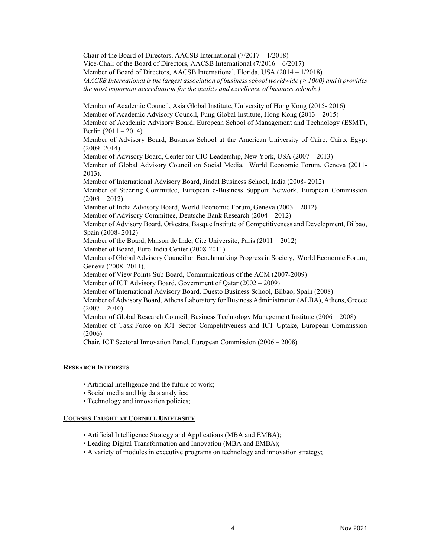Chair of the Board of Directors, AACSB International (7/2017 – 1/2018) Vice-Chair of the Board of Directors, AACSB International (7/2016 – 6/2017) Member of Board of Directors, AACSB International, Florida, USA (2014 – 1/2018) (AACSB International is the largest association of business school worldwide  $(>1000)$  and it provides the most important accreditation for the quality and excellence of business schools.)

Member of Academic Council, Asia Global Institute, University of Hong Kong (2015- 2016) Member of Academic Advisory Council, Fung Global Institute, Hong Kong (2013 – 2015) Member of Academic Advisory Board, European School of Management and Technology (ESMT), Berlin (2011 – 2014)

Member of Advisory Board, Business School at the American University of Cairo, Cairo, Egypt (2009- 2014)

Member of Advisory Board, Center for CIO Leadership, New York, USA (2007 – 2013) Member of Global Advisory Council on Social Media, World Economic Forum, Geneva (2011- 2013).

Member of International Advisory Board, Jindal Business School, India (2008- 2012) Member of Steering Committee, European e-Business Support Network, European Commission  $(2003 - 2012)$ 

Member of India Advisory Board, World Economic Forum, Geneva (2003 – 2012)

Member of Advisory Committee, Deutsche Bank Research (2004 – 2012)

Member of Advisory Board, Orkestra, Basque Institute of Competitiveness and Development, Bilbao, Spain (2008- 2012)

Member of the Board, Maison de Inde, Cite Universite, Paris (2011 – 2012)

Member of Board, Euro-India Center (2008-2011).

Member of Global Advisory Council on Benchmarking Progress in Society, World Economic Forum, Geneva (2008- 2011).

Member of View Points Sub Board, Communications of the ACM (2007-2009)

Member of ICT Advisory Board, Government of Qatar (2002 – 2009)

Member of International Advisory Board, Duesto Business School, Bilbao, Spain (2008)

Member of Advisory Board, Athens Laboratory for Business Administration (ALBA), Athens, Greece  $(2007 - 2010)$ 

Member of Global Research Council, Business Technology Management Institute (2006 – 2008) Member of Task-Force on ICT Sector Competitiveness and ICT Uptake, European Commission (2006)

Chair, ICT Sectoral Innovation Panel, European Commission (2006 – 2008)

# RESEARCH INTERESTS

- Artificial intelligence and the future of work; Artificial intelligence and the future of work;
- Social media and big data analytics; Social media and big data analytics;
- Technology and innovation policies; Technology and innovation policies;

# COURSES TAUGHT AT CORNELL UNIVERSITY

- Artificial Intelligence Strategy and Applications (MBA and EMBA); Artificial Intelligence Strategy and Applications (MBA and EMBA);
- Leading Digital Transformation and Innovation (MBA and EMBA); Leading Digital Transformation and Innovation (MBA and EMBA);
- A variety of modules in executive programs on technology and innovation strategy; A variety of modules in executive programs on technology and innovation strategy;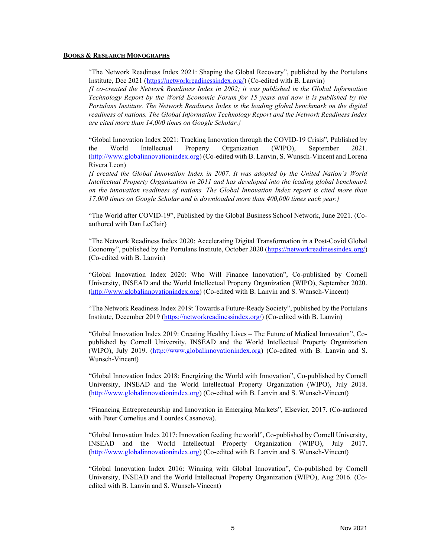#### BOOKS & RESEARCH MONOGRAPHS

"The Network Readiness Index 2021: Shaping the Global Recovery", published by the Portulans Institute, Dec 2021 [\(https://networkreadinessindex.org/\)](https://networkreadinessindex.org/) (Co-edited with B. Lanvin)

{I co-created the Network Readiness Index in 2002; it was published in the Global Information Technology Report by the World Economic Forum for 15 years and now it is published by the Portulans Institute. The Network Readiness Index is the leading global benchmark on the digital readiness of nations. The Global Information Technology Report and the Network Readiness Index are cited more than 14,000 times on Google Scholar.}

"Global Innovation Index 2021: Tracking Innovation through the COVID-19 Crisis", Published by the World Intellectual Property Organization (WIPO), September 2021. [\(http://www.globalinnovationindex.org\)](http://www.globalinnovationindex.org) (Co-edited with B. Lanvin, S. Wunsch-Vincent and Lorena Rivera Leon)

{I created the Global Innovation Index in 2007. It was adopted by the United Nation's World Intellectual Property Organization in 2011 and has developed into the leading global benchmark on the innovation readiness of nations. The Global Innovation Index report is cited more than 17,000 times on Google Scholar and is downloaded more than 400,000 times each year.}

"The World after COVID-19", Published by the Global Business School Network, June 2021. (Coauthored with Dan LeClair)

"The Network Readiness Index 2020: Accelerating Digital Transformation in a Post-Covid Global Economy", published by the Portulans Institute, October 2020 [\(https://networkreadinessindex.org/\)](https://networkreadinessindex.org/) (Co-edited with B. Lanvin)

"Global Innovation Index 2020: Who Will Finance Innovation", Co-published by Cornell University, INSEAD and the World Intellectual Property Organization (WIPO), September 2020. [\(http://www.globalinnovationindex.org\)](http://www.globalinnovationindex.org) (Co-edited with B. Lanvin and S. Wunsch-Vincent)

"The Network Readiness Index 2019: Towards a Future-Ready Society", published by the Portulans Institute, December 2019 [\(https://networkreadinessindex.org/\)](https://networkreadinessindex.org/) (Co-edited with B. Lanvin)

"Global Innovation Index 2019: Creating Healthy Lives – The Future of Medical Innovation", Copublished by Cornell University, INSEAD and the World Intellectual Property Organization (WIPO), July 2019. [\(http://www.globalinnovationindex.org\)](http://www.globalinnovationindex.org) (Co-edited with B. Lanvin and S. Wunsch-Vincent)

"Global Innovation Index 2018: Energizing the World with Innovation", Co-published by Cornell University, INSEAD and the World Intellectual Property Organization (WIPO), July 2018. [\(http://www.globalinnovationindex.org\)](http://www.globalinnovationindex.org) (Co-edited with B. Lanvin and S. Wunsch-Vincent)

"Financing Entrepreneurship and Innovation in Emerging Markets", Elsevier, 2017. (Co-authored with Peter Cornelius and Lourdes Casanova).

"Global Innovation Index 2017: Innovation feeding the world", Co-published by Cornell University, INSEAD and the World Intellectual Property Organization (WIPO), July 2017. [\(http://www.globalinnovationindex.org\)](http://www.globalinnovationindex.org) (Co-edited with B. Lanvin and S. Wunsch-Vincent)

"Global Innovation Index 2016: Winning with Global Innovation", Co-published by Cornell University, INSEAD and the World Intellectual Property Organization (WIPO), Aug 2016. (Coedited with B. Lanvin and S. Wunsch-Vincent)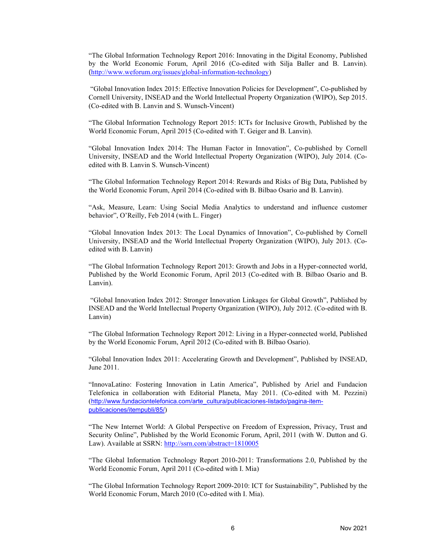"The Global Information Technology Report 2016: Innovating in the Digital Economy, Published by the World Economic Forum, April 2016 (Co-edited with Silja Baller and B. Lanvin). ([http://www.weforum.org/issues/global-information-technology\)](http://www.weforum.org/issues/global-information-technology)

"Global Innovation Index 2015: Effective Innovation Policies for Development", Co-published by Cornell University, INSEAD and the World Intellectual Property Organization (WIPO), Sep 2015. (Co-edited with B. Lanvin and S. Wunsch-Vincent)

"The Global Information Technology Report 2015: ICTs for Inclusive Growth, Published by the World Economic Forum, April 2015 (Co-edited with T. Geiger and B. Lanvin).

"Global Innovation Index 2014: The Human Factor in Innovation", Co-published by Cornell University, INSEAD and the World Intellectual Property Organization (WIPO), July 2014. (Coedited with B. Lanvin S. Wunsch-Vincent)

"The Global Information Technology Report 2014: Rewards and Risks of Big Data, Published by the World Economic Forum, April 2014 (Co-edited with B. Bilbao Osario and B. Lanvin).

"Ask, Measure, Learn: Using Social Media Analytics to understand and influence customer behavior", O'Reilly, Feb 2014 (with L. Finger)

"Global Innovation Index 2013: The Local Dynamics of Innovation", Co-published by Cornell University, INSEAD and the World Intellectual Property Organization (WIPO), July 2013. (Coedited with B. Lanvin)

"The Global Information Technology Report 2013: Growth and Jobs in a Hyper-connected world, Published by the World Economic Forum, April 2013 (Co-edited with B. Bilbao Osario and B. Lanvin).

"Global Innovation Index 2012: Stronger Innovation Linkages for Global Growth", Published by INSEAD and the World Intellectual Property Organization (WIPO), July 2012. (Co-edited with B. Lanvin)

"The Global Information Technology Report 2012: Living in a Hyper-connected world, Published by the World Economic Forum, April 2012 (Co-edited with B. Bilbao Osario).

"Global Innovation Index 2011: Accelerating Growth and Development", Published by INSEAD, June 2011.

"InnovaLatino: Fostering Innovation in Latin America", Published by Ariel and Fundacion Telefonica in collaboration with Editorial Planeta, May 2011. (Co-edited with M. Pezzini) ([http://www.fundaciontelefonica.com/arte\\_cultura/publicaciones-listado/pagina-item](http://www.fundaciontelefonica.com/arte_cultura/publicaciones-listado/pagina-item-publicaciones/itempubli/85/)publicaciones/itempubli/85/)

"The New Internet World: A Global Perspective on Freedom of Expression, Privacy, Trust and Security Online", Published by the World Economic Forum, April, 2011 (with W. Dutton and G. Law). Available at SSRN: <http://ssrn.com/abstract=1810005>

"The Global Information Technology Report 2010-2011: Transformations 2.0, Published by the World Economic Forum, April 2011 (Co-edited with I. Mia)

"The Global Information Technology Report 2009-2010: ICT for Sustainability", Published by the World Economic Forum, March 2010 (Co-edited with I. Mia).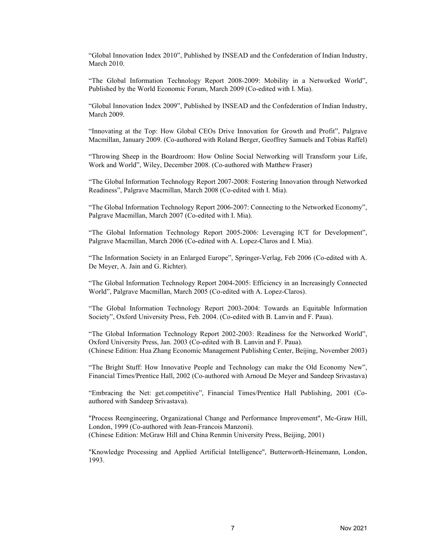"Global Innovation Index 2010", Published by INSEAD and the Confederation of Indian Industry, March 2010.

"The Global Information Technology Report 2008-2009: Mobility in a Networked World", Published by the World Economic Forum, March 2009 (Co-edited with I. Mia).

"Global Innovation Index 2009", Published by INSEAD and the Confederation of Indian Industry, March 2009.

"Innovating at the Top: How Global CEOs Drive Innovation for Growth and Profit", Palgrave Macmillan, January 2009. (Co-authored with Roland Berger, Geoffrey Samuels and Tobias Raffel)

"Throwing Sheep in the Boardroom: How Online Social Networking will Transform your Life, Work and World", Wiley, December 2008. (Co-authored with Matthew Fraser)

"The Global Information Technology Report 2007-2008: Fostering Innovation through Networked Readiness", Palgrave Macmillan, March 2008 (Co-edited with I. Mia).

"The Global Information Technology Report 2006-2007: Connecting to the Networked Economy", Palgrave Macmillan, March 2007 (Co-edited with I. Mia).

"The Global Information Technology Report 2005-2006: Leveraging ICT for Development", Palgrave Macmillan, March 2006 (Co-edited with A. Lopez-Claros and I. Mia).

"The Information Society in an Enlarged Europe", Springer-Verlag, Feb 2006 (Co-edited with A. De Meyer, A. Jain and G. Richter).

"The Global Information Technology Report 2004-2005: Efficiency in an Increasingly Connected World", Palgrave Macmillan, March 2005 (Co-edited with A. Lopez-Claros).

"The Global Information Technology Report 2003-2004: Towards an Equitable Information Society", Oxford University Press, Feb. 2004. (Co-edited with B. Lanvin and F. Paua).

"The Global Information Technology Report 2002-2003: Readiness for the Networked World", Oxford University Press, Jan. 2003 (Co-edited with B. Lanvin and F. Paua). (Chinese Edition: Hua Zhang Economic Management Publishing Center, Beijing, November 2003)

"The Bright Stuff: How Innovative People and Technology can make the Old Economy New", Financial Times/Prentice Hall, 2002 (Co-authored with Arnoud De Meyer and Sandeep Srivastava)

"Embracing the Net: get.competitive", Financial Times/Prentice Hall Publishing, 2001 (Coauthored with Sandeep Srivastava).

"Process Reengineering, Organizational Change and Performance Improvement", Mc-Graw Hill, London, 1999 (Co-authored with Jean-Francois Manzoni). (Chinese Edition: McGraw Hill and China Renmin University Press, Beijing, 2001)

"Knowledge Processing and Applied Artificial Intelligence", Butterworth-Heinemann, London, 1993.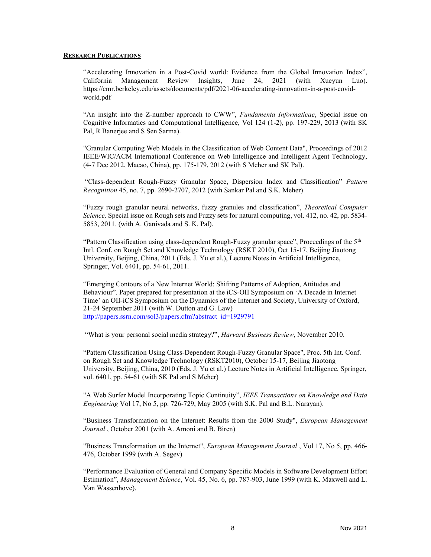#### RESEARCH PUBLICATIONS

"Accelerating Innovation in a Post-Covid world: Evidence from the Global Innovation Index", California Management Review Insights, June 24, 2021 (with Xueyun Luo). [https://cmr.berkeley.edu/assets/documents/pdf/2021-06-accelerating-innovation-in-a-post-covid](https://cmr.berkeley.edu/assets/documents/pdf/2021-06-accelerating-innovation-in-a-post-covid-world.pdf)world.pdf

"An insight into the Z-number approach to CWW", Fundamenta Informaticae, Special issue on Cognitive Informatics and Computational Intelligence, Vol 124 (1-2), pp. 197-229, 2013 (with SK Pal, R Banerjee and S Sen Sarma).

"Granular Computing Web Models in the Classification of Web Content Data", Proceedings of 2012 IEEE/WIC/ACM International Conference on Web Intelligence and Intelligent Agent Technology, (4-7 Dec 2012, Macao, China), pp. 175-179, 2012 (with S Meher and SK Pal).

"Class-dependent Rough-Fuzzy Granular Space, Dispersion Index and Classification" Pattern Recognition 45, no. 7, pp. 2690-2707, 2012 (with Sankar Pal and S.K. Meher)

"Fuzzy rough granular neural networks, fuzzy granules and classification", Theoretical Computer Science, Special issue on Rough sets and Fuzzy sets for natural computing, vol. 412, no. 42, pp. 5834- 5853, 2011. (with A. Ganivada and S. K. Pal).

"Pattern Classification using class-dependent Rough-Fuzzy granular space", Proceedings of the 5<sup>th</sup> Intl. Conf. on Rough Set and Knowledge Technology (RSKT 2010), Oct 15-17, Beijing Jiaotong University, Beijing, China, 2011 (Eds. J. Yu et al.), Lecture Notes in Artificial Intelligence, Springer, Vol. 6401, pp. 54-61, 2011.

"Emerging Contours of a New Internet World: Shifting Patterns of Adoption, Attitudes and Behaviour". Paper prepared for presentation at the iCS-OII Symposium on 'A Decade in Internet Time' an OII-iCS Symposium on the Dynamics of the Internet and Society, University of Oxford, 21-24 September 2011 (with W. Dutton and G. Law) [http://papers.ssrn.com/sol3/papers.cfm?abstract\\_id=1929791](http://papers.ssrn.com/sol3/papers.cfm?abstract_id=1929791)

"What is your personal social media strategy?", Harvard Business Review, November 2010.

"Pattern Classification Using Class-Dependent Rough-Fuzzy Granular Space", Proc. 5th Int. Conf. on Rough Set and Knowledge Technology (RSKT2010), October 15-17, Beijing Jiaotong University, Beijing, China, 2010 (Eds. J. Yu et al.) Lecture Notes in Artificial Intelligence, Springer, vol. 6401, pp. 54-61 (with SK Pal and S Meher)

"A Web Surfer Model Incorporating Topic Continuity", IEEE Transactions on Knowledge and Data Engineering Vol 17, No 5, pp. 726-729, May 2005 (with S.K. Pal and B.L. Narayan).

"Business Transformation on the Internet: Results from the 2000 Study", European Management Journal , October 2001 (with A. Amoni and B. Biren)

"Business Transformation on the Internet", *European Management Journal*, Vol 17, No 5, pp. 466-476, October 1999 (with A. Segev)

"Performance Evaluation of General and Company Specific Models in Software Development Effort Estimation", Management Science, Vol. 45, No. 6, pp. 787-903, June 1999 (with K. Maxwell and L. Van Wassenhove).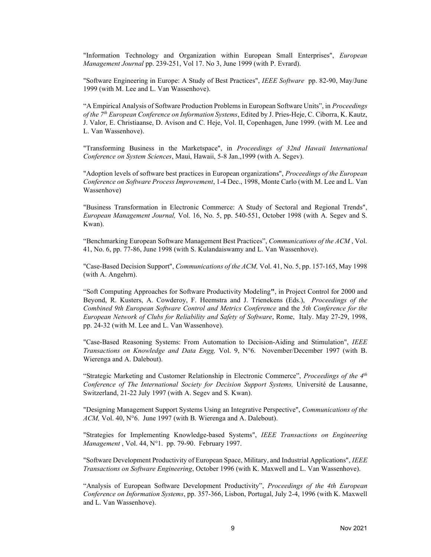"Information Technology and Organization within European Small Enterprises", European Management Journal pp. 239-251, Vol 17. No 3, June 1999 (with P. Evrard).

"Software Engineering in Europe: A Study of Best Practices", IEEE Software pp. 82-90, May/June 1999 (with M. Lee and L. Van Wassenhove).

"A Empirical Analysis of Software Production Problemsin European Software Units", in Proceedings of the 7<sup>th</sup> European Conference on Information Systems, Edited by J. Pries-Heje, C. Ciborra, K. Kautz, J. Valor, E. Christiaanse, D. Avison and C. Heje, Vol. II, Copenhagen, June 1999. (with M. Lee and L. Van Wassenhove).

"Transforming Business in the Marketspace", in Proceedings of 32nd Hawaii International Conference on System Sciences, Maui, Hawaii, 5-8 Jan.,1999 (with A. Segev).

"Adoption levels of software best practices in European organizations", Proceedings of the European Conference on Software Process Improvement, 1-4 Dec., 1998, Monte Carlo (with M. Lee and L. Van Wassenhove)

"Business Transformation in Electronic Commerce: A Study of Sectoral and Regional Trends", European Management Journal, Vol. 16, No. 5, pp. 540-551, October 1998 (with A. Segev and S. Kwan).

"Benchmarking European Software Management Best Practices", *Communications of the ACM*, Vol. 41, No. 6, pp. 77-86, June 1998 (with S. Kulandaiswamy and L. Van Wassenhove).

"Case-Based Decision Support", Communications of the ACM, Vol. 41, No. 5, pp. 157-165, May 1998 (with A. Angehrn).

"Soft Computing Approaches for Software Productivity Modeling", in Project Control for 2000 and Beyond, R. Kusters, A. Cowderoy, F. Heemstra and J. Trienekens (Eds.), *Proceedings of the* Combined 9th European Software Control and Metrics Conference and the 5th Conference for the European Network of Clubs for Reliability and Safety of Software, Rome, Italy. May 27-29, 1998, pp. 24-32 (with M. Lee and L. Van Wassenhove).

"Case-Based Reasoning Systems: From Automation to Decision-Aiding and Stimulation", IEEE Transactions on Knowledge and Data Engg, Vol. 9, N°6. November/December 1997 (with B. Wierenga and A. Dalebout).

"Strategic Marketing and Customer Relationship in Electronic Commerce", Proceedings of the  $4<sup>th</sup>$ Conference of The International Society for Decision Support Systems, Université de Lausanne, Switzerland, 21-22 July 1997 (with A. Segev and S. Kwan).

"Designing Management Support Systems Using an Integrative Perspective", Communications of the  $ACM$ , Vol. 40, N°6. June 1997 (with B. Wierenga and A. Dalebout).

"Strategies for Implementing Knowledge-based Systems", IEEE Transactions on Engineering Management, Vol. 44, N°1. pp. 79-90. February 1997.

"Software Development Productivity of European Space, Military, and Industrial Applications", IEEE Transactions on Software Engineering, October 1996 (with K. Maxwell and L. Van Wassenhove).

"Analysis of European Software Development Productivity", Proceedings of the 4th European Conference on Information Systems, pp. 357-366, Lisbon, Portugal, July 2-4, 1996 (with K. Maxwell and L. Van Wassenhove).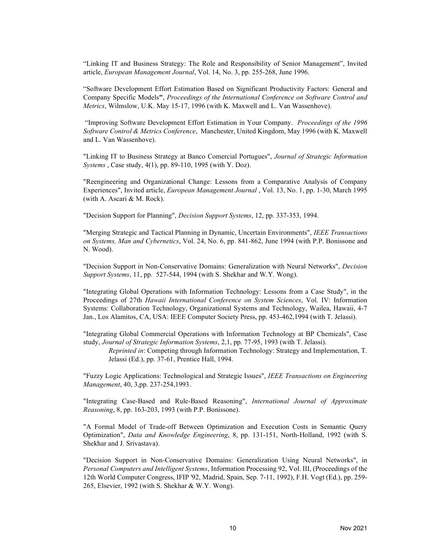"Linking IT and Business Strategy: The Role and Responsibility of Senior Management", Invited article, European Management Journal, Vol. 14, No. 3, pp. 255-268, June 1996.

"Software Development Effort Estimation Based on Significant Productivity Factors: General and Company Specific Models", Proceedings of the International Conference on Software Control and Metrics, Wilmslow, U.K. May 15-17, 1996 (with K. Maxwell and L. Van Wassenhove).

"Improving Software Development Effort Estimation in Your Company. Proceedings of the 1996 Software Control & Metrics Conference, Manchester, United Kingdom, May 1996 (with K. Maxwell and L. Van Wassenhove).

"Linking IT to Business Strategy at Banco Comercial Portugues", Journal of Strategic Information Systems , Case study, 4(1), pp. 89-110, 1995 (with Y. Doz).

"Reengineering and Organizational Change: Lessons from a Comparative Analysis of Company Experiences", Invited article, European Management Journal , Vol. 13, No. 1, pp. 1-30, March 1995 (with A. Ascari & M. Rock).

"Decision Support for Planning", Decision Support Systems, 12, pp. 337-353, 1994.

"Merging Strategic and Tactical Planning in Dynamic, Uncertain Environments", IEEE Transactions on Systems, Man and Cybernetics, Vol. 24, No. 6, pp. 841-862, June 1994 (with P.P. Bonissone and N. Wood).

"Decision Support in Non-Conservative Domains: Generalization with Neural Networks", Decision Support Systems, 11, pp. 527-544, 1994 (with S. Shekhar and W.Y. Wong).

"Integrating Global Operations with Information Technology: Lessons from a Case Study", in the Proceedings of 27th Hawaii International Conference on System Sciences, Vol. IV: Information Systems: Collaboration Technology, Organizational Systems and Technology, Wailea, Hawaii, 4-7 Jan., Los Alamitos, CA, USA: IEEE Computer Society Press, pp. 453-462,1994 (with T. Jelassi).

"Integrating Global Commercial Operations with Information Technology at BP Chemicals", Case study, Journal of Strategic Information Systems, 2,1, pp. 77-95, 1993 (with T. Jelassi).

Reprinted in: Competing through Information Technology: Strategy and Implementation, T. Jelassi (Ed.), pp. 37-61, Prentice Hall, 1994.

"Fuzzy Logic Applications: Technological and Strategic Issues", IEEE Transactions on Engineering Management, 40, 3,pp. 237-254,1993.

"Integrating Case-Based and Rule-Based Reasoning", International Journal of Approximate Reasoning, 8, pp. 163-203, 1993 (with P.P. Bonissone).

"A Formal Model of Trade-off Between Optimization and Execution Costs in Semantic Query Optimization", *Data and Knowledge Engineering*, 8, pp. 131-151, North-Holland, 1992 (with S. Shekhar and J. Srivastava).

"Decision Support in Non-Conservative Domains: Generalization Using Neural Networks", in Personal Computers and Intelligent Systems, Information Processing 92, Vol. III, (Proceedings of the 12th World Computer Congress, IFIP '92, Madrid, Spain, Sep. 7-11, 1992), F.H. Vogt (Ed.), pp. 259- 265, Elsevier, 1992 (with S. Shekhar & W.Y. Wong).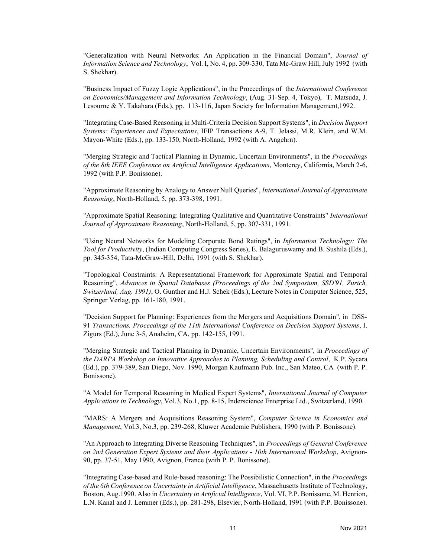"Generalization with Neural Networks: An Application in the Financial Domain", Journal of Information Science and Technology, Vol. I, No. 4, pp. 309-330, Tata Mc-Graw Hill, July 1992 (with S. Shekhar).

"Business Impact of Fuzzy Logic Applications", in the Proceedings of the International Conference on Economics/Management and Information Technology, (Aug. 31-Sep. 4, Tokyo), T. Matsuda, J. Lesourne & Y. Takahara (Eds.), pp. 113-116, Japan Society for Information Management,1992.

"Integrating Case-Based Reasoning in Multi-Criteria Decision Support Systems", in Decision Support Systems: Experiences and Expectations, IFIP Transactions A-9, T. Jelassi, M.R. Klein, and W.M. Mayon-White (Eds.), pp. 133-150, North-Holland, 1992 (with A. Angehrn).

"Merging Strategic and Tactical Planning in Dynamic, Uncertain Environments", in the Proceedings of the 8th IEEE Conference on Artificial Intelligence Applications, Monterey, California, March 2-6, 1992 (with P.P. Bonissone).

"Approximate Reasoning by Analogy to Answer Null Queries", International Journal of Approximate Reasoning, North-Holland, 5, pp. 373-398, 1991.

"Approximate Spatial Reasoning: Integrating Qualitative and Quantitative Constraints" *International* Journal of Approximate Reasoning, North-Holland, 5, pp. 307-331, 1991.

"Using Neural Networks for Modeling Corporate Bond Ratings", in Information Technology: The Tool for Productivity, (Indian Computing Congress Series), E. Balaguruswamy and B. Sushila (Eds.), pp. 345-354, Tata-McGraw-Hill, Delhi, 1991 (with S. Shekhar).

"Topological Constraints: A Representational Framework for Approximate Spatial and Temporal Reasoning", Advances in Spatial Databases (Proceedings of the 2nd Symposium, SSD'91, Zurich, Switzerland, Aug. 1991), O. Gunther and H.J. Schek (Eds.), Lecture Notes in Computer Science, 525, Springer Verlag, pp. 161-180, 1991.

"Decision Support for Planning: Experiences from the Mergers and Acquisitions Domain", in DSS-91 Transactions, Proceedings of the 11th International Conference on Decision Support Systems, I. Zigurs (Ed.), June 3-5, Anaheim, CA, pp. 142-155, 1991.

"Merging Strategic and Tactical Planning in Dynamic, Uncertain Environments", in Proceedings of the DARPA Workshop on Innovative Approaches to Planning, Scheduling and Control, K.P. Sycara (Ed.), pp. 379-389, San Diego, Nov. 1990, Morgan Kaufmann Pub. Inc., San Mateo, CA (with P. P. Bonissone).

"A Model for Temporal Reasoning in Medical Expert Systems", International Journal of Computer Applications in Technology, Vol.3, No.1, pp. 8-15, Inderscience Enterprise Ltd., Switzerland, 1990.

"MARS: A Mergers and Acquisitions Reasoning System", Computer Science in Economics and Management, Vol.3, No.3, pp. 239-268, Kluwer Academic Publishers, 1990 (with P. Bonissone).

"An Approach to Integrating Diverse Reasoning Techniques", in Proceedings of General Conference on 2nd Generation Expert Systems and their Applications - 10th International Workshop, Avignon-90, pp. 37-51, May 1990, Avignon, France (with P. P. Bonissone).

"Integrating Case-based and Rule-based reasoning: The Possibilistic Connection", in the Proceedings of the 6th Conference on Uncertainty in Artificial Intelligence, Massachusetts Institute of Technology, Boston, Aug.1990. Also in Uncertainty in Artificial Intelligence, Vol. VI, P.P. Bonissone, M. Henrion, L.N. Kanal and J. Lemmer (Eds.), pp. 281-298, Elsevier, North-Holland, 1991 (with P.P. Bonissone).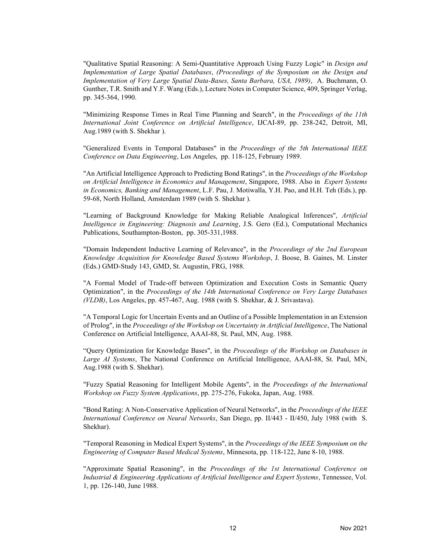"Qualitative Spatial Reasoning: A Semi-Quantitative Approach Using Fuzzy Logic" in Design and Implementation of Large Spatial Databases, (Proceedings of the Symposium on the Design and Implementation of Very Large Spatial Data-Bases, Santa Barbara, USA, 1989), A. Buchmann, O. Gunther, T.R. Smith and Y.F. Wang (Eds.), Lecture Notesin Computer Science, 409, Springer Verlag, pp. 345-364, 1990.

"Minimizing Response Times in Real Time Planning and Search", in the Proceedings of the 11th International Joint Conference on Artificial Intelligence, IJCAI-89, pp. 238-242, Detroit, MI, Aug.1989 (with S. Shekhar ).

"Generalized Events in Temporal Databases" in the Proceedings of the 5th International IEEE Conference on Data Engineering, Los Angeles, pp. 118-125, February 1989.

"An Artificial Intelligence Approach to Predicting Bond Ratings", in the Proceedings of the Workshop on Artificial Intelligence in Economics and Management, Singapore, 1988. Also in Expert Systems in Economics, Banking and Management, L.F. Pau, J. Motiwalla, Y.H. Pao, and H.H. Teh (Eds.), pp. 59-68, North Holland, Amsterdam 1989 (with S. Shekhar ).

"Learning of Background Knowledge for Making Reliable Analogical Inferences", Artificial Intelligence in Engineering: Diagnosis and Learning, J.S. Gero (Ed.), Computational Mechanics Publications, Southampton-Boston, pp. 305-331,1988.

"Domain Independent Inductive Learning of Relevance", in the Proceedings of the 2nd European Knowledge Acquisition for Knowledge Based Systems Workshop, J. Boose, B. Gaines, M. Linster (Eds.) GMD-Study 143, GMD, St. Augustin, FRG, 1988.

"A Formal Model of Trade-off between Optimization and Execution Costs in Semantic Query Optimization", in the Proceedings of the 14th International Conference on Very Large Databases (VLDB), Los Angeles, pp. 457-467, Aug. 1988 (with S. Shekhar, & J. Srivastava).

"A Temporal Logic for Uncertain Events and an Outline of a Possible Implementation in an Extension of Prolog", in the Proceedings of the Workshop on Uncertainty in Artificial Intelligence, The National Conference on Artificial Intelligence, AAAI-88, St. Paul, MN, Aug. 1988.

"Query Optimization for Knowledge Bases", in the Proceedings of the Workshop on Databases in Large AI Systems, The National Conference on Artificial Intelligence, AAAI-88, St. Paul, MN, Aug.1988 (with S. Shekhar).

"Fuzzy Spatial Reasoning for Intelligent Mobile Agents", in the Proceedings of the International Workshop on Fuzzy System Applications, pp. 275-276, Fukoka, Japan, Aug. 1988.

"Bond Rating: A Non-Conservative Application of Neural Networks", in the Proceedings of the IEEE International Conference on Neural Networks, San Diego, pp. II/443 - II/450, July 1988 (with S. Shekhar).

"Temporal Reasoning in Medical Expert Systems", in the *Proceedings of the IEEE Symposium on the* Engineering of Computer Based Medical Systems, Minnesota, pp. 118-122, June 8-10, 1988.

"Approximate Spatial Reasoning", in the Proceedings of the 1st International Conference on Industrial & Engineering Applications of Artificial Intelligence and Expert Systems, Tennessee, Vol. 1, pp. 126-140, June 1988.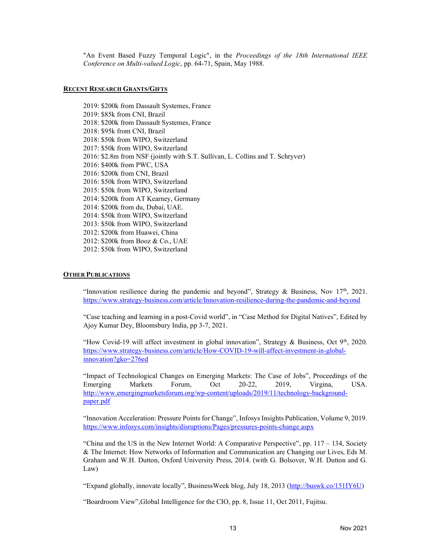"An Event Based Fuzzy Temporal Logic", in the Proceedings of the 18th International IEEE Conference on Multi-valued Logic, pp. 64-71, Spain, May 1988.

#### RECENT RESEARCH GRANTS/GIFTS

2019: \$200k from Dassault Systemes, France 2019: \$85k from CNI, Brazil 2018: \$200k from Dassault Systemes, France 2018: \$95k from CNI, Brazil 2018: \$50k from WIPO, Switzerland 2017: \$50k from WIPO, Switzerland 2016: \$2.8m from NSF (jointly with S.T. Sullivan, L. Collins and T. Schryver) 2016: \$400k from PWC, USA 2016: \$200k from CNI, Brazil 2016: \$50k from WIPO, Switzerland 2015: \$50k from WIPO, Switzerland 2014: \$200k from AT Kearney, Germany 2014: \$200k from du, Dubai, UAE. 2014: \$50k from WIPO, Switzerland 2013: \$50k from WIPO, Switzerland 2012: \$200k from Huawei, China 2012: \$200k from Booz & Co., UAE 2012: \$50k from WIPO, Switzerland

#### **OTHER PUBLICATIONS**

"Innovation resilience during the pandemic and beyond", Strategy & Business, Nov  $17<sup>th</sup>$ , 2021. <https://www.strategy-business.com/article/Innovation-resilience-during-the-pandemic-and-beyond>

"Case teaching and learning in a post-Covid world", in "Case Method for Digital Natives", Edited by Ajoy Kumar Dey, Bloomsbury India, pp 3-7, 2021.

"How Covid-19 will affect investment in global innovation", Strategy & Business, Oct 9<sup>th</sup>, 2020. [https://www.strategy-business.com/article/How-COVID-19-will-affect-investment-in-global](https://www.strategy-business.com/article/How-COVID-19-will-affect-investment-in-global-innovation?gko=276ed)innovation?gko=276ed

"Impact of Technological Changes on Emerging Markets: The Case of Jobs", Proceedings of the Emerging Markets Forum, Oct 20-22, 2019, Virgina, USA. [http://www.emergingmarketsforum.org/wp-content/uploads/2019/11/technology-background](http://www.emergingmarketsforum.org/wp-content/uploads/2019/11/technology-background-paper.pdf)paper.pdf

"Innovation Acceleration: Pressure Points for Change", Infosys Insights Publication, Volume 9, 2019. <https://www.infosys.com/insights/disruptions/Pages/pressures-points-change.aspx>

"China and the US in the New Internet World: A Comparative Perspective", pp. 117 – 134, Society & The Internet: How Networks of Information and Communication are Changing our Lives, Eds M. Graham and W.H. Dutton, Oxford University Press, 2014. (with G. Bolsover, W.H. Dutton and G. Law)

"Expand globally, innovate locally", BusinessWeek blog, July 18, 2013 [\(http://buswk.co/151IY6U\)](http://buswk.co/151IY6U)

"Boardroom View",Global Intelligence for the CIO, pp. 8, Issue 11, Oct 2011, Fujitsu.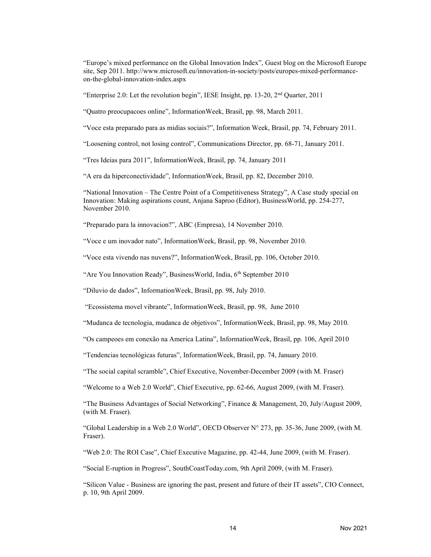"Europe's mixed performance on the Global Innovation Index", Guest blog on the Microsoft Europe site, Sep 2011. [http://www.microsoft.eu/innovation-in-society/posts/europes-mixed-performance](http://www.microsoft.eu/innovation-in-society/posts/europes-mixed-performance-on-the-global-innovation-index.aspx)on-the-global-innovation-index.aspx

"Enterprise 2.0: Let the revolution begin", IESE Insight, pp. 13-20, 2nd Quarter, 2011

"Quatro preocupacoes online", InformationWeek, Brasil, pp. 98, March 2011.

"Voce esta preparado para as midias sociais?", Information Week, Brasil, pp. 74, February 2011.

"Loosening control, not losing control", Communications Director, pp. 68-71, January 2011.

"Tres Ideias para 2011", InformationWeek, Brasil, pp. 74, January 2011

"A era da hiperconectividade", InformationWeek, Brasil, pp. 82, December 2010.

"National Innovation – The Centre Point of a Competitiveness Strategy", A Case study special on Innovation: Making aspirations count, Anjana Saproo (Editor), BusinessWorld, pp. 254-277, November 2010.

"Preparado para la innovacion?", ABC (Empresa), 14 November 2010.

"Voce e um inovador nato", InformationWeek, Brasil, pp. 98, November 2010.

"Voce esta vivendo nas nuvens?", InformationWeek, Brasil, pp. 106, October 2010.

"Are You Innovation Ready", Business World, India, 6th September 2010

"Diluvio de dados", InformationWeek, Brasil, pp. 98, July 2010.

"Ecossistema movel vibrante", InformationWeek, Brasil, pp. 98, June 2010

"Mudanca de tecnologia, mudanca de objetivos", InformationWeek, Brasil, pp. 98, May 2010.

"Os campeoes em conexão na America Latina", InformationWeek, Brasil, pp. 106, April 2010

"Tendencias tecnológicas futuras", InformationWeek, Brasil, pp. 74, January 2010.

"The social capital scramble", Chief Executive, November-December 2009 (with M. Fraser)

"Welcome to a Web 2.0 World", Chief Executive, pp. 62-66, August 2009, (with M. Fraser).

"The Business Advantages of Social Networking", Finance & Management, 20, July/August 2009, (with M. Fraser).

"Global Leadership in a Web 2.0 World", OECD Observer N° 273, pp. 35-36, June 2009, (with M. Fraser).

"Web 2.0: The ROI Case", Chief Executive Magazine, pp. 42-44, June 2009, (with M. Fraser).

"Social E-ruption in Progress", SouthCoastToday.com, 9th April 2009, (with M. Fraser).

"Silicon Value - Business are ignoring the past, present and future of their IT assets", CIO Connect, p. 10, 9th April 2009.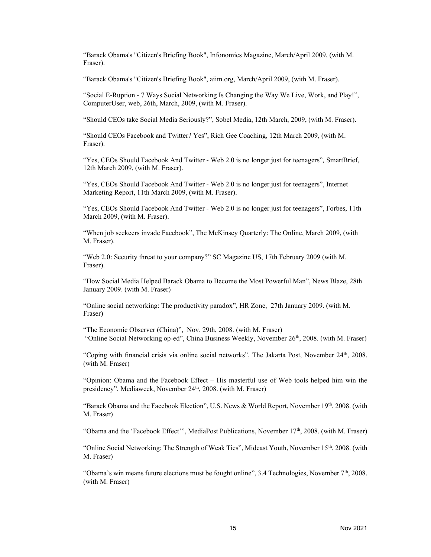"Barack Obama's "Citizen's Briefing Book", Infonomics Magazine, March/April 2009, (with M. Fraser).

"Barack Obama's "Citizen's Briefing Book", aiim.org, March/April 2009, (with M. Fraser).

"Social E-Ruption - 7 Ways Social Networking Is Changing the Way We Live, Work, and Play!", ComputerUser, web, 26th, March, 2009, (with M. Fraser).

"Should CEOs take Social Media Seriously?", Sobel Media, 12th March, 2009, (with M. Fraser).

"Should CEOs Facebook and Twitter? Yes", Rich Gee Coaching, 12th March 2009, (with M. Fraser).

"Yes, CEOs Should Facebook And Twitter - Web 2.0 is no longer just for teenagers", SmartBrief, 12th March 2009, (with M. Fraser).

"Yes, CEOs Should Facebook And Twitter - Web 2.0 is no longer just for teenagers", Internet Marketing Report, 11th March 2009, (with M. Fraser).

"Yes, CEOs Should Facebook And Twitter - Web 2.0 is no longer just for teenagers", Forbes, 11th March 2009, (with M. Fraser).

"When job seekeers invade Facebook", The McKinsey Quarterly: The Online, March 2009, (with M. Fraser).

"Web 2.0: Security threat to your company?" SC Magazine US, 17th February 2009 (with M. Fraser).

"How Social Media Helped Barack Obama to Become the Most Powerful Man", News Blaze, 28th January 2009. (with M. Fraser)

"Online social networking: The productivity paradox", HR Zone, 27th January 2009. (with M. Fraser)

"The Economic Observer (China)", Nov. 29th, 2008. (with M. Fraser) "Online Social Networking op-ed", China Business Weekly, November  $26<sup>th</sup>$ , 2008. (with M. Fraser)

"Coping with financial crisis via online social networks", The Jakarta Post, November  $24<sup>th</sup>$ , 2008. (with M. Fraser)

"Opinion: Obama and the Facebook Effect – His masterful use of Web tools helped him win the presidency", Mediaweek, November 24<sup>th</sup>, 2008. (with M. Fraser)

"Barack Obama and the Facebook Election", U.S. News & World Report, November 19th, 2008. (with M. Fraser)

"Obama and the 'Facebook Effect'", MediaPost Publications, November 17<sup>th</sup>, 2008. (with M. Fraser)

"Online Social Networking: The Strength of Weak Ties", Mideast Youth, November 15<sup>th</sup>, 2008. (with M. Fraser)

"Obama's win means future elections must be fought online", 3.4 Technologies, November  $7<sup>th</sup>$ , 2008. (with M. Fraser)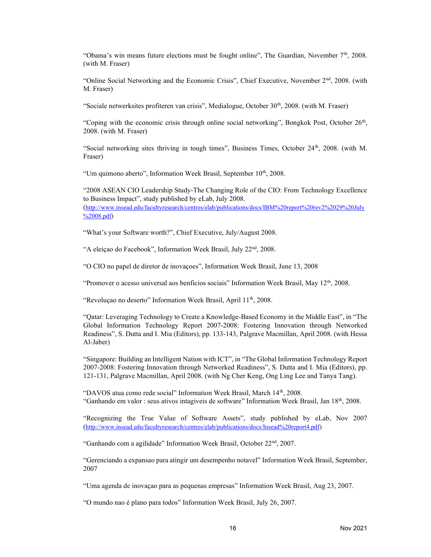"Obama's win means future elections must be fought online", The Guardian, November 7<sup>th</sup>, 2008. (with M. Fraser)

"Online Social Networking and the Economic Crisis", Chief Executive, November 2nd, 2008. (with M. Fraser)

"Sociale netwerksites profiteren van crisis", Medialogue, October 30<sup>th</sup>, 2008. (with M. Fraser)

"Coping with the economic crisis through online social networking", Bongkok Post, October  $26<sup>th</sup>$ , 2008. (with M. Fraser)

"Social networking sites thriving in tough times", Business Times, October 24th, 2008. (with M. Fraser)

"Um quimono aberto", Information Week Brasil, September 10<sup>th</sup>, 2008.

"2008 ASEAN CIO Leadership Study-The Changing Role of the CIO: From Technology Excellence to Business Impact", study published by eLab, July 2008. ([http://www.insead.edu/facultyresearch/centres/elab/publications/docs/IBM%20report%20rev2%2029%20July](http://www.insead.edu/facultyresearch/centres/elab/publications/docs/IBM%20report%20rev2%2029%20July%2008.pdf) %2008.pdf)

"What's your Software worth?", Chief Executive, July/August 2008.

"A eleiçao do Facebook", Information Week Brasil, July 22<sup>nd</sup>, 2008.

"O CIO no papel de diretor de inovaçoes", Information Week Brasil, June 13, 2008

"Promover o acesso universal aos benficios sociais" Information Week Brasil, May  $12<sup>th</sup>$ , 2008.

"Revoluçao no deserto" Information Week Brasil, April 11<sup>th</sup>, 2008.

"Qatar: Leveraging Technology to Create a Knowledge-Based Economy in the Middle East", in "The Global Information Technology Report 2007-2008: Fostering Innovation through Networked Readiness", S. Dutta and I. Mia (Editors), pp. 133-143, Palgrave Macmillan, April 2008. (with Hessa Al-Jaber)

"Singapore: Building an Intelligent Nation with ICT", in "The Global Information Technology Report 2007-2008: Fostering Innovation through Networked Readiness", S. Dutta and I. Mia (Editors), pp. 121-131, Palgrave Macmillan, April 2008. (with Ng Cher Keng, Ong Ling Lee and Tanya Tang).

"DAVOS atua como rede social" Information Week Brasil, March 14th, 2008. "Ganhando em valor : seus ativos intagiveis de software" Information Week Brasil, Jan 18th, 2008.

"Recognizing the True Value of Software Assets", study published by eLab, Nov 2007 ([http://www.insead.edu/facultyresearch/centres/elab/publications/docs/Insead%20report4.pdf\)](http://www.insead.edu/facultyresearch/centres/elab/publications/docs/Insead%20report4.pdf)

"Ganhando com a agilidade" Information Week Brasil, October 22nd, 2007.

"Gerenciando a expansao para atingir um desempenho notavel" Information Week Brasil, September, 2007

"Uma agenda de inovaçao para as pequenas empresas" Information Week Brasil, Aug 23, 2007.

"O mundo nao é plano para todos" Information Week Brasil, July 26, 2007.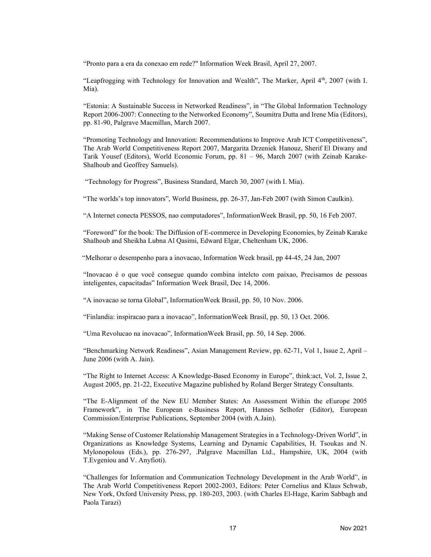"Pronto para a era da conexao em rede?" Information Week Brasil, April 27, 2007.

"Leapfrogging with Technology for Innovation and Wealth", The Marker, April 4<sup>th</sup>, 2007 (with I. Mia).

"Estonia: A Sustainable Success in Networked Readiness", in "The Global Information Technology Report 2006-2007: Connecting to the Networked Economy", Soumitra Dutta and Irene Mia (Editors), pp. 81-90, Palgrave Macmillan, March 2007.

"Promoting Technology and Innovation: Recommendations to Improve Arab ICT Competitiveness", The Arab World Competitiveness Report 2007, Margarita Drzeniek Hanouz, Sherif El Diwany and Tarik Yousef (Editors), World Economic Forum, pp. 81 – 96, March 2007 (with Zeinab Karake-Shalhoub and Geoffrey Samuels).

"Technology for Progress", Business Standard, March 30, 2007 (with I. Mia).

"The worlds's top innovators", World Business, pp. 26-37, Jan-Feb 2007 (with Simon Caulkin).

"A Internet conecta PESSOS, nao computadores", InformationWeek Brasil, pp. 50, 16 Feb 2007.

"Foreword" for the book: The Diffusion of E-commerce in Developing Economies, by Zeinab Karake Shalhoub and Sheikha Lubna Al Qasimi, Edward Elgar, Cheltenham UK, 2006.

"Melhorar o desempenho para a inovacao, Information Week brasil, pp 44-45, 24 Jan, 2007

"Inovacao é o que você consegue quando combina intelcto com paixao, Precisamos de pessoas inteligentes, capacitadas" Information Week Brasil, Dec 14, 2006.

"A inovacao se torna Global", InformationWeek Brasil, pp. 50, 10 Nov. 2006.

"Finlandia: inspiracao para a inovacao", InformationWeek Brasil, pp. 50, 13 Oct. 2006.

"Uma Revolucao na inovacao", InformationWeek Brasil, pp. 50, 14 Sep. 2006.

"Benchmarking Network Readiness", Asian Management Review, pp. 62-71, Vol 1, Issue 2, April – June 2006 (with A. Jain).

"The Right to Internet Access: A Knowledge-Based Economy in Europe", think:act, Vol. 2, Issue 2, August 2005, pp. 21-22, Executive Magazine published by Roland Berger Strategy Consultants.

"The E-Alignment of the New EU Member States: An Assessment Within the eEurope 2005 Framework", in The European e-Business Report, Hannes Selhofer (Editor), European Commission/Enterprise Publications, September 2004 (with A.Jain).

"Making Sense of Customer Relationship Management Strategies in a Technology-Driven World", in Organizations as Knowledge Systems, Learning and Dynamic Capabilities, H. Tsoukas and N. Mylonopolous (Eds.), pp. 276-297, .Palgrave Macmillan Ltd., Hampshire, UK, 2004 (with T.Evgeniou and V. Anyfioti).

"Challenges for Information and Communication Technology Development in the Arab World", in The Arab World Competitiveness Report 2002-2003, Editors: Peter Cornelius and Klaus Schwab, New York, Oxford University Press, pp. 180-203, 2003. (with Charles El-Hage, Karim Sabbagh and Paola Tarazi)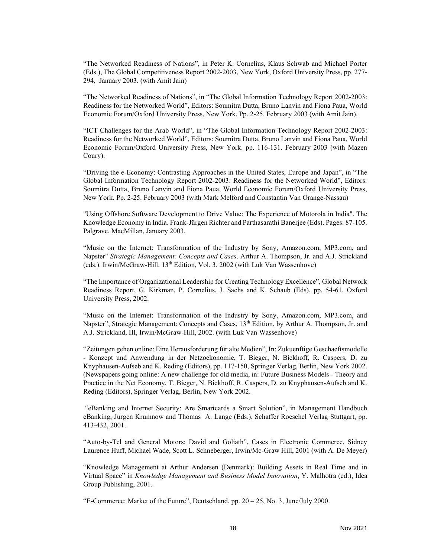"The Networked Readiness of Nations", in Peter K. Cornelius, Klaus Schwab and Michael Porter (Eds.), The Global Competitiveness Report 2002-2003, New York, Oxford University Press, pp. 277- 294, January 2003. (with Amit Jain)

"The Networked Readiness of Nations", in "The Global Information Technology Report 2002-2003: Readiness for the Networked World", Editors: Soumitra Dutta, Bruno Lanvin and Fiona Paua, World Economic Forum/Oxford University Press, New York. Pp. 2-25. February 2003 (with Amit Jain).

"ICT Challenges for the Arab World", in "The Global Information Technology Report 2002-2003: Readiness for the Networked World", Editors: Soumitra Dutta, Bruno Lanvin and Fiona Paua, World Economic Forum/Oxford University Press, New York. pp. 116-131. February 2003 (with Mazen Coury).

"Driving the e-Economy: Contrasting Approaches in the United States, Europe and Japan", in "The Global Information Technology Report 2002-2003: Readiness for the Networked World", Editors: Soumitra Dutta, Bruno Lanvin and Fiona Paua, World Economic Forum/Oxford University Press, New York. Pp. 2-25. February 2003 (with Mark Melford and Constantin Van Orange-Nassau)

"Using Offshore Software Development to Drive Value: The Experience of Motorola in India". The Knowledge Economy in India. Frank-Jürgen Richter and Parthasarathi Banerjee (Eds). Pages: 87-105. Palgrave, MacMillan, January 2003.

"Music on the Internet: Transformation of the Industry by Sony, Amazon.com, MP3.com, and Napster" Strategic Management: Concepts and Cases. Arthur A. Thompson, Jr. and A.J. Strickland (eds.). Irwin/McGraw-Hill. 13th Edition, Vol. 3. 2002 (with Luk Van Wassenhove)

"The Importance of Organizational Leadership for Creating Technology Excellence", Global Network Readiness Report, G. Kirkman, P. Cornelius, J. Sachs and K. Schaub (Eds), pp. 54-61, Oxford University Press, 2002.

"Music on the Internet: Transformation of the Industry by Sony, Amazon.com, MP3.com, and Napster", Strategic Management: Concepts and Cases, 13<sup>th</sup> Edition, by Arthur A. Thompson, Jr. and A.J. Strickland, III, Irwin/McGraw-Hill, 2002. (with Luk Van Wassenhove)

"Zeitungen gehen online: Eine Herausforderung für alte Medien", In: Zukuenftige Geschaeftsmodelle - Konzept und Anwendung in der Netzoekonomie, T. Bieger, N. Bickhoff, R. Caspers, D. zu Knyphausen-Aufseb and K. Reding (Editors), pp. 117-150, Springer Verlag, Berlin, New York 2002. (Newspapers going online: A new challenge for old media, in: Future Business Models - Theory and Practice in the Net Economy, T. Bieger, N. Bickhoff, R. Caspers, D. zu Knyphausen-Aufseb and K. Reding (Editors), Springer Verlag, Berlin, New York 2002.

 "eBanking and Internet Security: Are Smartcards a Smart Solution", in Management Handbuch eBanking, Jurgen Krumnow and Thomas A. Lange (Eds.), Schaffer Roeschel Verlag Stuttgart, pp. 413-432, 2001.

"Auto-by-Tel and General Motors: David and Goliath", Cases in Electronic Commerce, Sidney Laurence Huff, Michael Wade, Scott L. Schneberger, Irwin/Mc-Graw Hill, 2001 (with A. De Meyer)

"Knowledge Management at Arthur Andersen (Denmark): Building Assets in Real Time and in Virtual Space" in Knowledge Management and Business Model Innovation, Y. Malhotra (ed.), Idea Group Publishing, 2001.

"E-Commerce: Market of the Future", Deutschland, pp.  $20 - 25$ , No. 3, June/July 2000.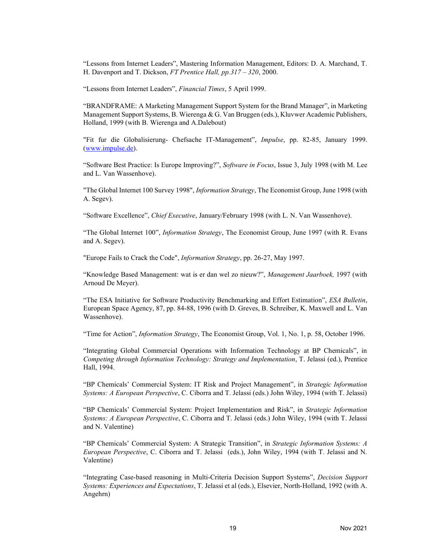"Lessons from Internet Leaders", Mastering Information Management, Editors: D. A. Marchand, T. H. Davenport and T. Dickson, FT Prentice Hall, pp. 317 – 320, 2000.

"Lessons from Internet Leaders", Financial Times, 5 April 1999.

"BRANDFRAME: A Marketing Management Support System for the Brand Manager", in Marketing Management Support Systems, B. Wierenga & G. Van Bruggen (eds.), Kluvwer Academic Publishers, Holland, 1999 (with B. Wierenga and A.Dalebout)

"Fit fur die Globalisierung- Chefsache IT-Management", Impulse, pp. 82-85, January 1999. [\(www.impulse.de\)](http://www.impulse.de).

"Software Best Practice: Is Europe Improving?", Software in Focus, Issue 3, July 1998 (with M. Lee and L. Van Wassenhove).

"The Global Internet 100 Survey 1998", Information Strategy, The Economist Group, June 1998 (with A. Segev).

"Software Excellence", Chief Executive, January/February 1998 (with L. N. Van Wassenhove).

"The Global Internet 100", Information Strategy, The Economist Group, June 1997 (with R. Evans and A. Segev).

"Europe Fails to Crack the Code", Information Strategy, pp. 26-27, May 1997.

"Knowledge Based Management: wat is er dan wel zo nieuw?", Management Jaarboek, 1997 (with Arnoud De Meyer).

"The ESA Initiative for Software Productivity Benchmarking and Effort Estimation", ESA Bulletin, European Space Agency, 87, pp. 84-88, 1996 (with D. Greves, B. Schreiber, K. Maxwell and L. Van Wassenhove).

"Time for Action", *Information Strategy*, The Economist Group, Vol. 1, No. 1, p. 58, October 1996.

"Integrating Global Commercial Operations with Information Technology at BP Chemicals", in Competing through Information Technology: Strategy and Implementation, T. Jelassi (ed.), Prentice Hall, 1994.

"BP Chemicals' Commercial System: IT Risk and Project Management", in Strategic Information Systems: A European Perspective, C. Ciborra and T. Jelassi (eds.) John Wiley, 1994 (with T. Jelassi)

"BP Chemicals' Commercial System: Project Implementation and Risk", in Strategic Information Systems: A European Perspective, C. Ciborra and T. Jelassi (eds.) John Wiley, 1994 (with T. Jelassi and N. Valentine)

"BP Chemicals' Commercial System: A Strategic Transition", in Strategic Information Systems: A European Perspective, C. Ciborra and T. Jelassi (eds.), John Wiley, 1994 (with T. Jelassi and N. Valentine)

"Integrating Case-based reasoning in Multi-Criteria Decision Support Systems", Decision Support Systems: Experiences and Expectations, T. Jelassi et al (eds.), Elsevier, North-Holland, 1992 (with A. Angehrn)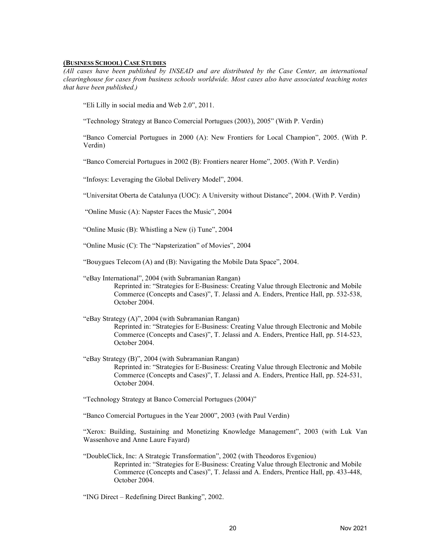#### (BUSINESS SCHOOL) CASE STUDIES

(All cases have been published by INSEAD and are distributed by the Case Center, an international clearinghouse for cases from business schools worldwide. Most cases also have associated teaching notes that have been published.)

"Eli Lilly in social media and Web 2.0", 2011.

"Technology Strategy at Banco Comercial Portugues (2003), 2005" (With P. Verdin)

"Banco Comercial Portugues in 2000 (A): New Frontiers for Local Champion", 2005. (With P. Verdin)

"Banco Comercial Portugues in 2002 (B): Frontiers nearer Home", 2005. (With P. Verdin)

"Infosys: Leveraging the Global Delivery Model", 2004.

"Universitat Oberta de Catalunya (UOC): A University without Distance", 2004. (With P. Verdin)

"Online Music (A): Napster Faces the Music", 2004

"Online Music (B): Whistling a New (i) Tune", 2004

"Online Music (C): The "Napsterization" of Movies", 2004

"Bouygues Telecom (A) and (B): Navigating the Mobile Data Space", 2004.

"eBay International", 2004 (with Subramanian Rangan) Reprinted in: "Strategies for E-Business: Creating Value through Electronic and Mobile Commerce (Concepts and Cases)", T. Jelassi and A. Enders, Prentice Hall, pp. 532-538, October 2004.

"eBay Strategy (A)", 2004 (with Subramanian Rangan) Reprinted in: "Strategies for E-Business: Creating Value through Electronic and Mobile Commerce (Concepts and Cases)", T. Jelassi and A. Enders, Prentice Hall, pp. 514-523, October 2004.

"eBay Strategy (B)", 2004 (with Subramanian Rangan) Reprinted in: "Strategies for E-Business: Creating Value through Electronic and Mobile Commerce (Concepts and Cases)", T. Jelassi and A. Enders, Prentice Hall, pp. 524-531, October 2004.

"Technology Strategy at Banco Comercial Portugues (2004)"

"Banco Comercial Portugues in the Year 2000", 2003 (with Paul Verdin)

"Xerox: Building, Sustaining and Monetizing Knowledge Management", 2003 (with Luk Van Wassenhove and Anne Laure Fayard)

"DoubleClick, Inc: A Strategic Transformation", 2002 (with Theodoros Evgeniou) Reprinted in: "Strategies for E-Business: Creating Value through Electronic and Mobile Commerce (Concepts and Cases)", T. Jelassi and A. Enders, Prentice Hall, pp. 433-448, October 2004.

"ING Direct – Redefining Direct Banking", 2002.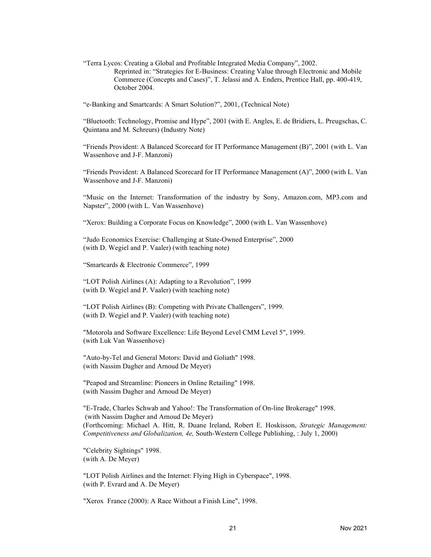"Terra Lycos: Creating a Global and Profitable Integrated Media Company", 2002. Reprinted in: "Strategies for E-Business: Creating Value through Electronic and Mobile Commerce (Concepts and Cases)", T. Jelassi and A. Enders, Prentice Hall, pp. 400-419, October 2004.

"e-Banking and Smartcards: A Smart Solution?", 2001, (Technical Note)

"Bluetooth: Technology, Promise and Hype", 2001 (with E. Angles, E. de Bridiers, L. Preugschas, C. Quintana and M. Schreurs) (Industry Note)

"Friends Provident: A Balanced Scorecard for IT Performance Management (B)", 2001 (with L. Van Wassenhove and J-F. Manzoni)

"Friends Provident: A Balanced Scorecard for IT Performance Management (A)", 2000 (with L. Van Wassenhove and J-F. Manzoni)

"Music on the Internet: Transformation of the industry by Sony, Amazon.com, MP3.com and Napster", 2000 (with L. Van Wassenhove)

"Xerox: Building a Corporate Focus on Knowledge", 2000 (with L. Van Wassenhove)

"Judo Economics Exercise: Challenging at State-Owned Enterprise", 2000 (with D. Wegiel and P. Vaaler) (with teaching note)

"Smartcards & Electronic Commerce", 1999

"LOT Polish Airlines (A): Adapting to a Revolution", 1999 (with D. Wegiel and P. Vaaler) (with teaching note)

"LOT Polish Airlines (B): Competing with Private Challengers", 1999. (with D. Wegiel and P. Vaaler) (with teaching note)

"Motorola and Software Excellence: Life Beyond Level CMM Level 5", 1999. (with Luk Van Wassenhove)

"Auto-by-Tel and General Motors: David and Goliath" 1998. (with Nassim Dagher and Arnoud De Meyer)

"Peapod and Streamline: Pioneers in Online Retailing" 1998. (with Nassim Dagher and Arnoud De Meyer)

"E-Trade, Charles Schwab and Yahoo!: The Transformation of On-line Brokerage" 1998. (with Nassim Dagher and Arnoud De Meyer) (Forthcoming: Michael A. Hitt, R. Duane Ireland, Robert E. Hoskisson, Strategic Management: Competitiveness and Globalization, 4e, South-Western College Publishing, : July 1, 2000)

"Celebrity Sightings" 1998. (with A. De Meyer)

"LOT Polish Airlines and the Internet: Flying High in Cyberspace", 1998. (with P. Evrard and A. De Meyer)

"Xerox France (2000): A Race Without a Finish Line", 1998.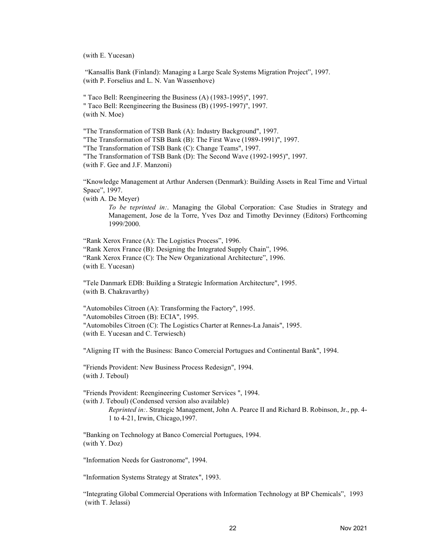(with E. Yucesan)

 "Kansallis Bank (Finland): Managing a Large Scale Systems Migration Project", 1997. (with P. Forselius and L. N. Van Wassenhove)

" Taco Bell: Reengineering the Business (A) (1983-1995)", 1997. " Taco Bell: Reengineering the Business (B) (1995-1997)", 1997. (with N. Moe)

"The Transformation of TSB Bank (A): Industry Background", 1997. "The Transformation of TSB Bank (B): The First Wave (1989-1991)", 1997. "The Transformation of TSB Bank (C): Change Teams", 1997. "The Transformation of TSB Bank (D): The Second Wave (1992-1995)", 1997. (with F. Gee and J.F. Manzoni)

"Knowledge Management at Arthur Andersen (Denmark): Building Assets in Real Time and Virtual Space", 1997.

(with A. De Meyer)

To be reprinted in:. Managing the Global Corporation: Case Studies in Strategy and Management, Jose de la Torre, Yves Doz and Timothy Devinney (Editors) Forthcoming 1999/2000.

"Rank Xerox France (A): The Logistics Process", 1996. "Rank Xerox France (B): Designing the Integrated Supply Chain", 1996. "Rank Xerox France (C): The New Organizational Architecture", 1996. (with E. Yucesan)

"Tele Danmark EDB: Building a Strategic Information Architecture", 1995. (with B. Chakravarthy)

"Automobiles Citroen (A): Transforming the Factory", 1995. "Automobiles Citroen (B): ECIA", 1995. "Automobiles Citroen (C): The Logistics Charter at Rennes-La Janais", 1995. (with E. Yucesan and C. Terwiesch)

"Aligning IT with the Business: Banco Comercial Portugues and Continental Bank", 1994.

"Friends Provident: New Business Process Redesign", 1994. (with J. Teboul)

"Friends Provident: Reengineering Customer Services ", 1994. (with J. Teboul) (Condensed version also available) Reprinted in:. Strategic Management, John A. Pearce II and Richard B. Robinson, Jr., pp. 4- 1 to 4-21, Irwin, Chicago,1997.

"Banking on Technology at Banco Comercial Portugues, 1994. (with Y. Doz)

"Information Needs for Gastronome", 1994.

"Information Systems Strategy at Stratex", 1993.

"Integrating Global Commercial Operations with Information Technology at BP Chemicals", 1993 (with T. Jelassi)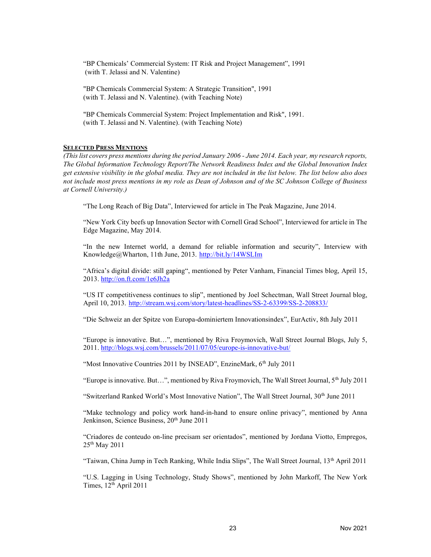"BP Chemicals' Commercial System: IT Risk and Project Management", 1991 (with T. Jelassi and N. Valentine)

"BP Chemicals Commercial System: A Strategic Transition", 1991 (with T. Jelassi and N. Valentine). (with Teaching Note)

"BP Chemicals Commercial System: Project Implementation and Risk", 1991. (with T. Jelassi and N. Valentine). (with Teaching Note)

### **SELECTED PRESS MENTIONS**

(This list covers press mentions during the period January 2006 - June 2014. Each year, my research reports, The Global Information Technology Report/The Network Readiness Index and the Global Innovation Index get extensive visibility in the global media. They are not included in the list below. The list below also does not include most press mentions in my role as Dean of Johnson and of the SC Johnson College of Business at Cornell University.)

"The Long Reach of Big Data", Interviewed for article in The Peak Magazine, June 2014.

"New York City beefs up Innovation Sector with Cornell Grad School", Interviewed for article in The Edge Magazine, May 2014.

"In the new Internet world, a demand for reliable information and security", Interview with Knowledge@Wharton, 11th June, 2013. <http://bit.ly/14WSLIm>

"Africa's digital divide: still gaping", mentioned by Peter Vanham, Financial Times blog, April 15, 2013. <http://on.ft.com/1e6Jh2a>

"US IT competitiveness continues to slip", mentioned by Joel Schectman, Wall Street Journal blog, April 10, 2013. <http://stream.wsj.com/story/latest-headlines/SS-2-63399/SS-2-208833/>

"Die Schweiz an der Spitze von Europa-dominiertem Innovationsindex", EurActiv, 8th July 2011

"Europe is innovative. But…", mentioned by Riva Froymovich, Wall Street Journal Blogs, July 5, 2011. <http://blogs.wsj.com/brussels/2011/07/05/europe-is-innovative-but/>

"Most Innovative Countries 2011 by INSEAD", EnzineMark, 6th July 2011

"Europe is innovative. But...", mentioned by Riva Froymovich, The Wall Street Journal,  $5<sup>th</sup>$  July 2011

"Switzerland Ranked World's Most Innovative Nation", The Wall Street Journal, 30<sup>th</sup> June 2011

"Make technology and policy work hand-in-hand to ensure online privacy", mentioned by Anna Jenkinson, Science Business, 20<sup>th</sup> June 2011

"Criadores de conteudo on-line precisam ser orientados", mentioned by Jordana Viotto, Empregos, 25th May 2011

"Taiwan, China Jump in Tech Ranking, While India Slips", The Wall Street Journal, 13th April 2011

"U.S. Lagging in Using Technology, Study Shows", mentioned by John Markoff, The New York Times,  $12<sup>th</sup>$  April 2011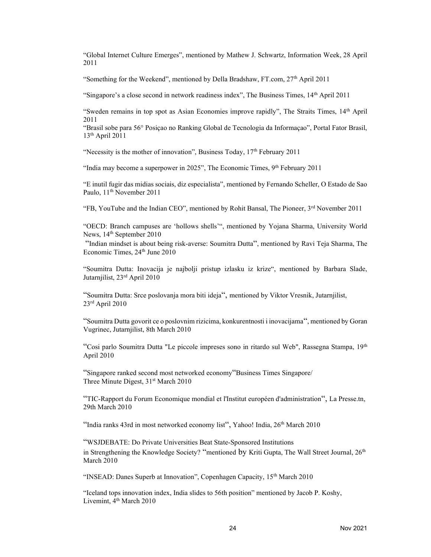"Global Internet Culture Emerges", mentioned by Mathew J. Schwartz, Information Week, 28 April 2011

"Something for the Weekend", mentioned by Della Bradshaw, FT.com,  $27<sup>th</sup>$  April 2011

"Singapore's a close second in network readiness index", The Business Times, 14<sup>th</sup> April 2011

"Sweden remains in top spot as Asian Economies improve rapidly", The Straits Times, 14th April 2011

"Brasil sobe para 56° Posiçao no Ranking Global de Tecnologia da Informaçao", Portal Fator Brasil, 13th April 2011

"Necessity is the mother of innovation", Business Today,  $17<sup>th</sup>$  February 2011

"India may become a superpower in 2025", The Economic Times,  $9<sup>th</sup>$  February 2011

"E inutil fugir das midias sociais, diz especialista", mentioned by Fernando Scheller, O Estado de Sao Paulo, 11<sup>th</sup> November 2011

"FB, YouTube and the Indian CEO", mentioned by Rohit Bansal, The Pioneer, 3<sup>rd</sup> November 2011

"OECD: Branch campuses are 'hollows shells'", mentioned by Yojana Sharma, University World News, 14<sup>th</sup> September 2010

 "Indian mindset is about being risk-averse: Soumitra Dutta", mentioned by Ravi Teja Sharma, The Economic Times, 24<sup>th</sup> June 2010

"Soumitra Dutta: Inovacija je najbolji pristup izlasku iz krize", mentioned by Barbara Slade, Jutarnjilist, 23rd April 2010

"Soumitra Dutta: Srce poslovanja mora biti ideja", mentioned by Viktor Vresnik, Jutarnjilist,  $23<sup>rd</sup>$  April 2010

"Soumitra Dutta govorit ce o poslovnim rizicima, konkurentnosti i inovacijama", mentioned by Goran Vugrinec, Jutarnjilist, 8th March 2010

"Cosi parlo Soumitra Dutta "Le piccole impreses sono in ritardo sul Web", Rassegna Stampa, 19<sup>th</sup> April 2010

"Singapore ranked second most networked economy"Business Times Singapore/ Three Minute Digest, 31<sup>st</sup> March 2010

"TIC-Rapport du Forum Economique mondial et l'Institut européen d'administration", La Presse.tn, 29th March 2010

"India ranks 43rd in most networked economy list", Yahoo! India, 26<sup>th</sup> March 2010

"WSJDEBATE: Do Private Universities Beat State-Sponsored Institutions

in Strengthening the Knowledge Society? "mentioned by Kriti Gupta, The Wall Street Journal, 26<sup>th</sup> March 2010

"INSEAD: Danes Superb at Innovation", Copenhagen Capacity,  $15<sup>th</sup>$  March 2010

"Iceland tops innovation index, India slides to 56th position" mentioned by Jacob P. Koshy, Livemint, 4<sup>th</sup> March 2010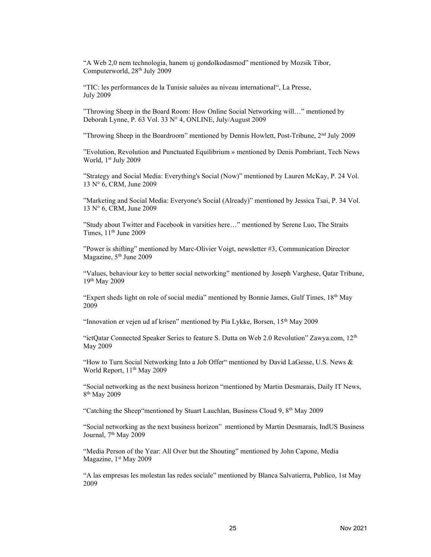"A Web 2,0 nem technologia, hanem uj gondolkodasmod" mentioned by Mozsik Tibor, Computerworld, 28<sup>th</sup> July 2009

"TIC: les performances de la Tunisie saluées au niveau international", La Presse, July 2009

"Throwing Sheep in the Board Room: How Online Social Networking will…" mentioned by Deborah Lynne, P. 63 Vol. 33 N° 4, ONLINE, July/August 2009

"Throwing Sheep in the Boardroom" mentioned by Dennis Howlett, Post-Tribune, 2nd July 2009

"Evolution, Revolution and Punctuated Equilibrium » mentioned by Denis Pombriant, Tech News World, 1st July 2009

"Strategy and Social Media: Everything's Social (Now)" mentioned by Lauren McKay, P. 24 Vol. 13 N° 6, CRM, June 2009

"Marketing and Social Media: Everyone's Social (Already)" mentioned by Jessica Tsai, P. 34 Vol. 13 N° 6, CRM, June 2009

"Study about Twitter and Facebook in varsities here…" mentioned by Serene Luo, The Straits Times,  $11<sup>th</sup>$  June 2009

"Power is shifting" mentioned by Marc-Olivier Voigt, newsletter #3, Communication Director Magazine, 5<sup>th</sup> June 2009

"Values, behaviour key to better social networking" mentioned by Joseph Varghese, Qatar Tribune, 19th May 2009

"Expert sheds light on role of social media" mentioned by Bonnie James, Gulf Times,  $18<sup>th</sup>$  May 2009

"Innovation er vejen ud af krisen" mentioned by Pia Lykke, Borsen, 15<sup>th</sup> May 2009

"ictQatar Connected Speaker Series to feature S. Dutta on Web 2.0 Revolution" Zawya.com,  $12<sup>th</sup>$ May 2009

"How to Turn Social Networking Into a Job Offer" mentioned by David LaGesse, U.S. News  $\&$ World Report, 11<sup>th</sup> May 2009

"Social networking as the next business horizon "mentioned by Martin Desmarais, Daily IT News, 8 th May 2009

"Catching the Sheep" mentioned by Stuart Lauchlan, Business Cloud 9,  $8<sup>th</sup>$  May 2009

"Social networking as the next business horizon" mentioned by Martin Desmarais, IndUS Business Journal, 7<sup>th</sup> May 2009

"Media Person of the Year: All Over but the Shouting" mentioned by John Capone, Media Magazine, 1<sup>st</sup> May 2009

"A las empresas les molestan las redes sociale" mentioned by Blanca Salvatierra, Publico, 1st May 2009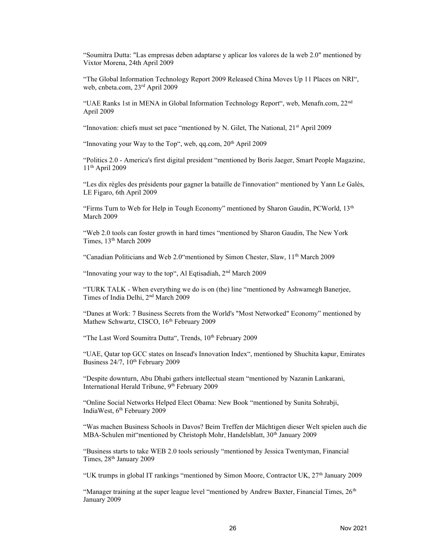"Soumitra Dutta: "Las empresas deben adaptarse y aplicar los valores de la web 2.0" mentioned by Vixtor Morena, 24th April 2009

"The Global Information Technology Report 2009 Released China Moves Up 11 Places on NRI", web, cnbeta.com, 23rd April 2009

"UAE Ranks 1st in MENA in Global Information Technology Report", web, Menafn.com, 22nd April 2009

"Innovation: chiefs must set pace "mentioned by N. Gilet, The National, 21<sup>st</sup> April 2009

"Innovating your Way to the Top", web, qq.com,  $20<sup>th</sup>$  April 2009

"Politics 2.0 - America's first digital president "mentioned by Boris Jaeger, Smart People Magazine, 11th April 2009

"Les dix règles des présidents pour gagner la bataille de l'innovation" mentioned by Yann Le Galès, LE Figaro, 6th April 2009

"Firms Turn to Web for Help in Tough Economy" mentioned by Sharon Gaudin, PCWorld,  $13<sup>th</sup>$ March 2009

"Web 2.0 tools can foster growth in hard times "mentioned by Sharon Gaudin, The New York Times,  $13<sup>th</sup> March 2009$ 

"Canadian Politicians and Web 2.0"mentioned by Simon Chester, Slaw, 11<sup>th</sup> March 2009

"Innovating your way to the top", Al Eqtisadiah,  $2<sup>nd</sup> March 2009$ 

"TURK TALK - When everything we do is on (the) line "mentioned by Ashwamegh Banerjee, Times of India Delhi, 2nd March 2009

"Danes at Work: 7 Business Secrets from the World's "Most Networked" Economy" mentioned by Mathew Schwartz, CISCO, 16<sup>th</sup> February 2009

"The Last Word Soumitra Dutta", Trends, 10th February 2009

"UAE, Qatar top GCC states on Insead's Innovation Index", mentioned by Shuchita kapur, Emirates Business 24/7, 10<sup>th</sup> February 2009

"Despite downturn, Abu Dhabi gathers intellectual steam "mentioned by Nazanin Lankarani, International Herald Tribune, 9<sup>th</sup> February 2009

"Online Social Networks Helped Elect Obama: New Book "mentioned by Sunita Sohrabji, IndiaWest, 6<sup>th</sup> February 2009

"Was machen Business Schools in Davos? Beim Treffen der Mächtigen dieser Welt spielen auch die MBA-Schulen mit mentioned by Christoph Mohr, Handelsblatt,  $30<sup>th</sup>$  January 2009

"Business starts to take WEB 2.0 tools seriously "mentioned by Jessica Twentyman, Financial Times, 28<sup>th</sup> January 2009

"UK trumps in global IT rankings "mentioned by Simon Moore, Contractor UK, 27<sup>th</sup> January 2009

"Manager training at the super league level "mentioned by Andrew Baxter, Financial Times,  $26<sup>th</sup>$ January 2009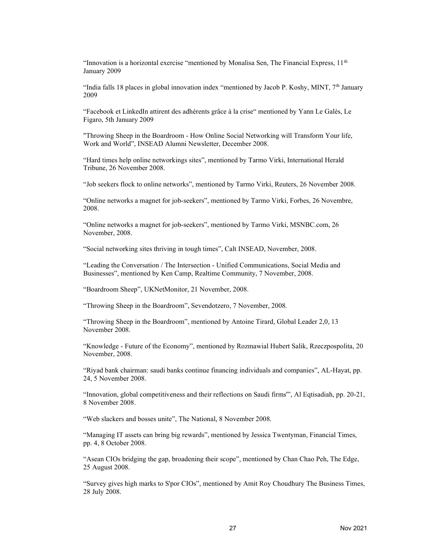"Innovation is a horizontal exercise "mentioned by Monalisa Sen, The Financial Express,  $11<sup>th</sup>$ January 2009

"India falls 18 places in global innovation index "mentioned by Jacob P. Koshy, MINT,  $7<sup>th</sup>$  January 2009

"Facebook et LinkedIn attirent des adhérents grâce à la crise" mentioned by Yann Le Galès, Le Figaro, 5th January 2009

"Throwing Sheep in the Boardroom - How Online Social Networking will Transform Your life, Work and World", INSEAD Alumni Newsletter, December 2008.

"Hard times help online networkings sites", mentioned by Tarmo Virki, International Herald Tribune, 26 November 2008.

"Job seekers flock to online networks", mentioned by Tarmo Virki, Reuters, 26 November 2008.

"Online networks a magnet for job-seekers", mentioned by Tarmo Virki, Forbes, 26 Novembre, 2008.

"Online networks a magnet for job-seekers", mentioned by Tarmo Virki, MSNBC.com, 26 November, 2008.

"Social networking sites thriving in tough times", Calt INSEAD, November, 2008.

"Leading the Conversation / The Intersection - Unified Communications, Social Media and Businesses", mentioned by Ken Camp, Realtime Community, 7 November, 2008.

"Boardroom Sheep", UKNetMonitor, 21 November, 2008.

"Throwing Sheep in the Boardroom", Sevendotzero, 7 November, 2008.

"Throwing Sheep in the Boardroom", mentioned by Antoine Tirard, Global Leader 2,0, 13 November 2008.

"Knowledge - Future of the Economy", mentioned by Rozmawial Hubert Salik, Rzeczpospolita, 20 November, 2008.

"Riyad bank chairman: saudi banks continue financing individuals and companies", AL-Hayat, pp. 24, 5 November 2008.

"Innovation, global competitiveness and their reflections on Saudi firms'", Al Eqtisadiah, pp. 20-21, 8 November 2008.

"Web slackers and bosses unite", The National, 8 November 2008.

"Managing IT assets can bring big rewards", mentioned by Jessica Twentyman, Financial Times, pp. 4, 8 October 2008.

"Asean CIOs bridging the gap, broadening their scope", mentioned by Chan Chao Peh, The Edge, 25 August 2008.

"Survey gives high marks to S'por CIOs", mentioned by Amit Roy Choudhury The Business Times, 28 July 2008.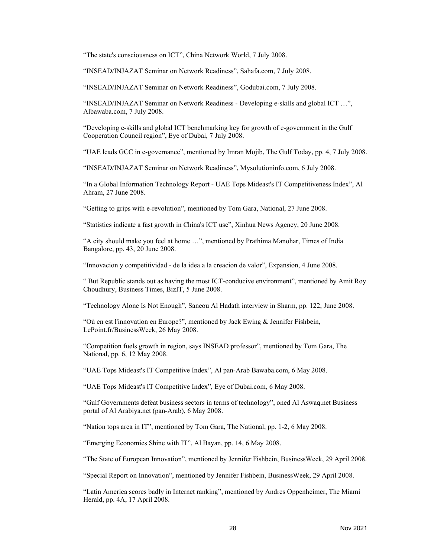"The state's consciousness on ICT", China Network World, 7 July 2008.

"INSEAD/INJAZAT Seminar on Network Readiness", Sahafa.com, 7 July 2008.

"INSEAD/INJAZAT Seminar on Network Readiness", Godubai.com, 7 July 2008.

"INSEAD/INJAZAT Seminar on Network Readiness - Developing e-skills and global ICT …", Albawaba.com, 7 July 2008.

"Developing e-skills and global ICT benchmarking key for growth of e-government in the Gulf Cooperation Council region", Eye of Dubai, 7 July 2008.

"UAE leads GCC in e-governance", mentioned by Imran Mojib, The Gulf Today, pp. 4, 7 July 2008.

"INSEAD/INJAZAT Seminar on Network Readiness", Mysolutioninfo.com, 6 July 2008.

"In a Global Information Technology Report - UAE Tops Mideast's IT Competitiveness Index", Al Ahram, 27 June 2008.

"Getting to grips with e-revolution", mentioned by Tom Gara, National, 27 June 2008.

"Statistics indicate a fast growth in China's ICT use", Xinhua News Agency, 20 June 2008.

"A city should make you feel at home …", mentioned by Prathima Manohar, Times of India Bangalore, pp. 43, 20 June 2008.

"Innovacion y competitividad - de la idea a la creacion de valor", Expansion, 4 June 2008.

" But Republic stands out as having the most ICT-conducive environment", mentioned by Amit Roy Choudhury, Business Times, BizIT, 5 June 2008.

"Technology Alone Is Not Enough", Saneou Al Hadath interview in Sharm, pp. 122, June 2008.

"Où en est l'innovation en Europe?", mentioned by Jack Ewing & Jennifer Fishbein, LePoint.fr/BusinessWeek, 26 May 2008.

"Competition fuels growth in region, says INSEAD professor", mentioned by Tom Gara, The National, pp. 6, 12 May 2008.

"UAE Tops Mideast's IT Competitive Index", Al pan-Arab Bawaba.com, 6 May 2008.

"UAE Tops Mideast's IT Competitive Index", Eye of Dubai.com, 6 May 2008.

"Gulf Governments defeat business sectors in terms of technology", oned Al Aswaq.net Business portal of Al Arabiya.net (pan-Arab), 6 May 2008.

"Nation tops area in IT", mentioned by Tom Gara, The National, pp. 1-2, 6 May 2008.

"Emerging Economies Shine with IT", Al Bayan, pp. 14, 6 May 2008.

"The State of European Innovation", mentioned by Jennifer Fishbein, BusinessWeek, 29 April 2008.

"Special Report on Innovation", mentioned by Jennifer Fishbein, BusinessWeek, 29 April 2008.

"Latin America scores badly in Internet ranking", mentioned by Andres Oppenheimer, The Miami Herald, pp. 4A, 17 April 2008.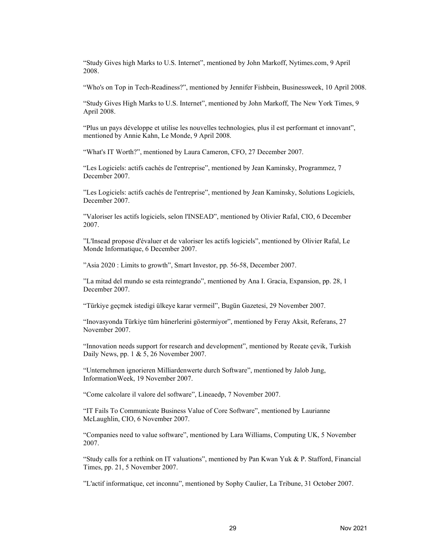"Study Gives high Marks to U.S. Internet", mentioned by John Markoff, Nytimes.com, 9 April 2008.

"Who's on Top in Tech-Readiness?", mentioned by Jennifer Fishbein, Businessweek, 10 April 2008.

"Study Gives High Marks to U.S. Internet", mentioned by John Markoff, The New York Times, 9 April 2008.

"Plus un pays développe et utilise les nouvelles technologies, plus il est performant et innovant", mentioned by Annie Kahn, Le Monde, 9 April 2008.

"What's IT Worth?", mentioned by Laura Cameron, CFO, 27 December 2007.

"Les Logiciels: actifs cachés de l'entreprise", mentioned by Jean Kaminsky, Programmez, 7 December 2007.

"Les Logiciels: actifs cachés de l'entreprise", mentioned by Jean Kaminsky, Solutions Logiciels, December 2007.

"Valoriser les actifs logiciels, selon l'INSEAD", mentioned by Olivier Rafal, CIO, 6 December 2007.

"L'Insead propose d'évaluer et de valoriser les actifs logiciels", mentioned by Olivier Rafal, Le Monde Informatique, 6 December 2007.

"Asia 2020 : Limits to growth", Smart Investor, pp. 56-58, December 2007.

"La mitad del mundo se esta reintegrando", mentioned by Ana I. Gracia, Expansion, pp. 28, 1 December 2007.

"Türkiye geçmek istedigi ülkeye karar vermeil", Bugün Gazetesi, 29 November 2007.

"Inovasyonda Türkiye tüm hünerlerini göstermiyor", mentioned by Feray Aksit, Referans, 27 November 2007.

"Innovation needs support for research and development", mentioned by Reeate çevik, Turkish Daily News, pp. 1 & 5, 26 November 2007.

"Unternehmen ignorieren Milliardenwerte durch Software", mentioned by Jalob Jung, InformationWeek, 19 November 2007.

"Come calcolare il valore del software", Lineaedp, 7 November 2007.

"IT Fails To Communicate Business Value of Core Software", mentioned by Laurianne McLaughlin, CIO, 6 November 2007.

"Companies need to value software", mentioned by Lara Williams, Computing UK, 5 November 2007.

"Study calls for a rethink on IT valuations", mentioned by Pan Kwan Yuk & P. Stafford, Financial Times, pp. 21, 5 November 2007.

"L'actif informatique, cet inconnu", mentioned by Sophy Caulier, La Tribune, 31 October 2007.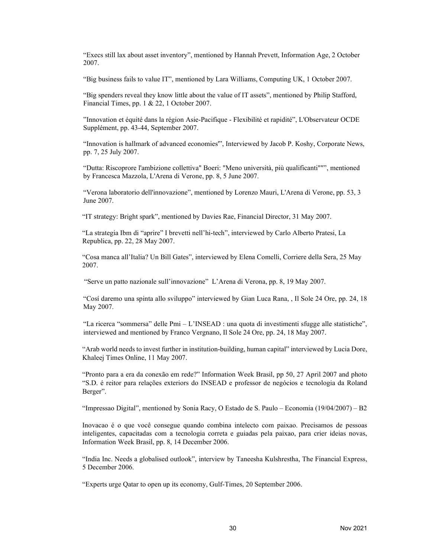"Execs still lax about asset inventory", mentioned by Hannah Prevett, Information Age, 2 October 2007.

"Big business fails to value IT", mentioned by Lara Williams, Computing UK, 1 October 2007.

"Big spenders reveal they know little about the value of IT assets", mentioned by Philip Stafford, Financial Times, pp. 1 & 22, 1 October 2007.

"Innovation et équité dans la région Asie-Pacifique - Flexibilité et rapidité", L'Observateur OCDE Supplément, pp. 43-44, September 2007.

"Innovation is hallmark of advanced economies'", Interviewed by Jacob P. Koshy, Corporate News, pp. 7, 25 July 2007.

"Dutta: Riscoprore l'ambizione collettiva" Boeri: "Meno università, più qualificanti""", mentioned by Francesca Mazzola, L'Arena di Verone, pp. 8, 5 June 2007.

"Verona laboratorio dell'innovazione", mentioned by Lorenzo Mauri, L'Arena di Verone, pp. 53, 3 June 2007.

"IT strategy: Bright spark", mentioned by Davies Rae, Financial Director, 31 May 2007.

"La strategia Ibm di "aprire" I brevetti nell'hi-tech", interviewed by Carlo Alberto Pratesi, La Republica, pp. 22, 28 May 2007.

"Cosa manca all'Italia? Un Bill Gates", interviewed by Elena Comelli, Corriere della Sera, 25 May 2007.

"Serve un patto nazionale sull'innovazione" L'Arena di Verona, pp. 8, 19 May 2007.

"Cosí daremo una spinta allo sviluppo" interviewed by Gian Luca Rana, , Il Sole 24 Ore, pp. 24, 18 May 2007.

"La ricerca "sommersa" delle Pmi – L'INSEAD : una quota di investimenti sfugge alle statistiche", interviewed and mentioned by Franco Vergnano, Il Sole 24 Ore, pp. 24, 18 May 2007.

"Arab world needs to invest further in institution-building, human capital" interviewed by Lucia Dore, Khaleej Times Online, 11 May 2007.

"Pronto para a era da conexão em rede?" Information Week Brasil, pp 50, 27 April 2007 and photo "S.D. é reitor para relações exteriors do INSEAD e professor de negócios e tecnologia da Roland Berger".

"Impressao Digital", mentioned by Sonia Racy, O Estado de S. Paulo – Economia (19/04/2007) – B2

Inovacao é o que você consegue quando combina intelecto com paixao. Precisamos de pessoas inteligentes, capacitadas com a tecnologia correta e guiadas pela paixao, para crier ideias novas, Information Week Brasil, pp. 8, 14 December 2006.

"India Inc. Needs a globalised outlook", interview by Taneesha Kulshrestha, The Financial Express, 5 December 2006.

"Experts urge Qatar to open up its economy, Gulf-Times, 20 September 2006.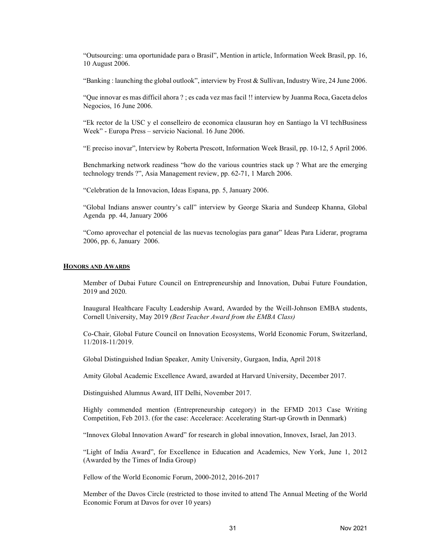"Outsourcing: uma oportunidade para o Brasil", Mention in article, Information Week Brasil, pp. 16, 10 August 2006.

"Banking : launching the global outlook", interview by Frost & Sullivan, Industry Wire, 24 June 2006.

"Que innovar es mas difficil ahora ? ; es cada vez mas facil !! interview by Juanma Roca, Gaceta delos Negocios, 16 June 2006.

"Ek rector de la USC y el conselleiro de economica clausuran hoy en Santiago la VI techBusiness Week" - Europa Press – servicio Nacional. 16 June 2006.

"E preciso inovar", Interview by Roberta Prescott, Information Week Brasil, pp. 10-12, 5 April 2006.

Benchmarking network readiness "how do the various countries stack up ? What are the emerging technology trends ?", Asia Management review, pp. 62-71, 1 March 2006.

"Celebration de la Innovacion, Ideas Espana, pp. 5, January 2006.

"Global Indians answer country's call" interview by George Skaria and Sundeep Khanna, Global Agenda pp. 44, January 2006

"Como aprovechar el potencial de las nuevas tecnologias para ganar" Ideas Para Liderar, programa 2006, pp. 6, January 2006.

#### HONORS AND AWARDS

Member of Dubai Future Council on Entrepreneurship and Innovation, Dubai Future Foundation, 2019 and 2020.

Inaugural Healthcare Faculty Leadership Award, Awarded by the Weill-Johnson EMBA students, Cornell University, May 2019 (Best Teacher Award from the EMBA Class)

Co-Chair, Global Future Council on Innovation Ecosystems, World Economic Forum, Switzerland, 11/2018-11/2019.

Global Distinguished Indian Speaker, Amity University, Gurgaon, India, April 2018

Amity Global Academic Excellence Award, awarded at Harvard University, December 2017.

Distinguished Alumnus Award, IIT Delhi, November 2017.

Highly commended mention (Entrepreneurship category) in the EFMD 2013 Case Writing Competition, Feb 2013. (for the case: Accelerace: Accelerating Start-up Growth in Denmark)

"Innovex Global Innovation Award" for research in global innovation, Innovex, Israel, Jan 2013.

"Light of India Award", for Excellence in Education and Academics, New York, June 1, 2012 (Awarded by the Times of India Group)

Fellow of the World Economic Forum, 2000-2012, 2016-2017

Member of the Davos Circle (restricted to those invited to attend The Annual Meeting of the World Economic Forum at Davos for over 10 years)